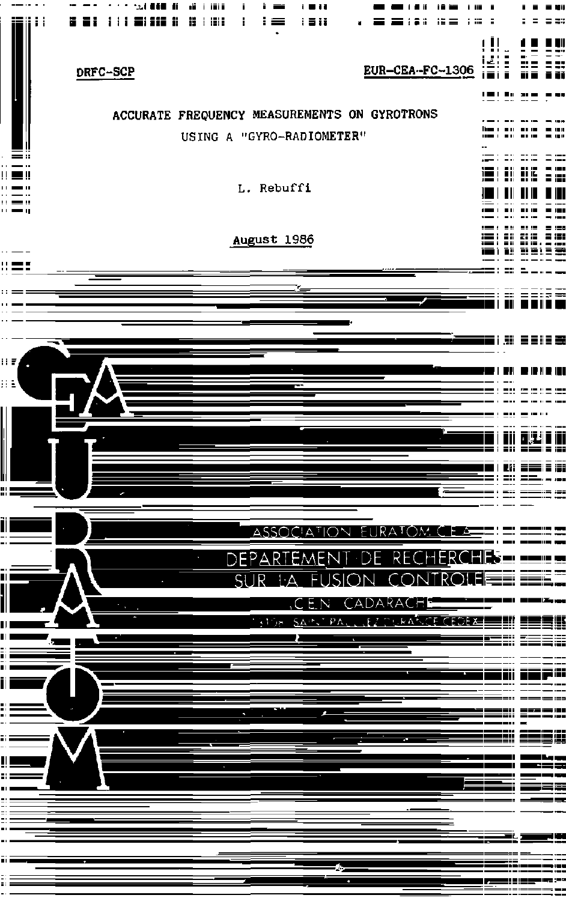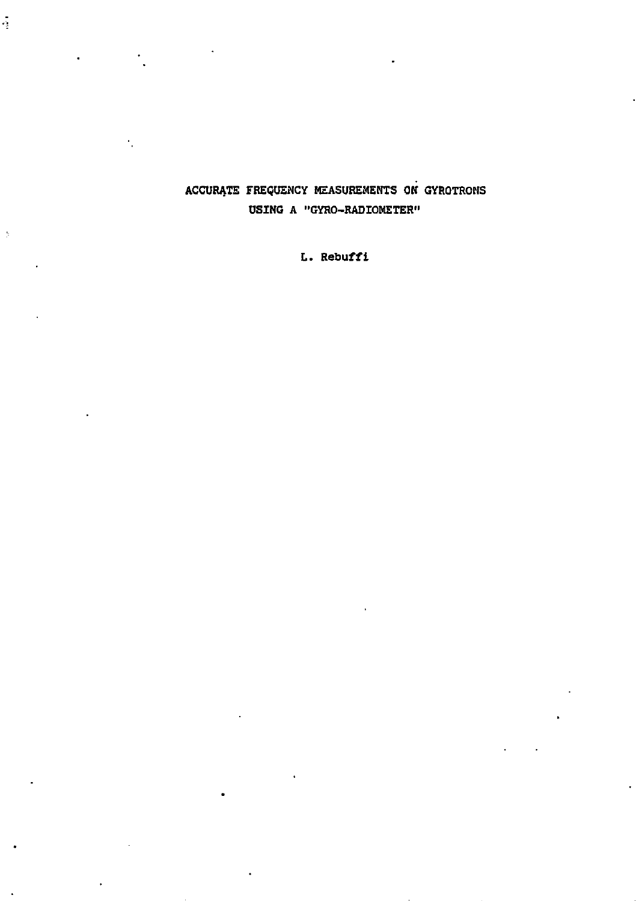# ACCURATE FREQUENCY MEASUREMENTS ON GYROTROMS USING A "GYRO-RADIOMETER"

ą

 $\overline{z}$ 

L. Rebuffi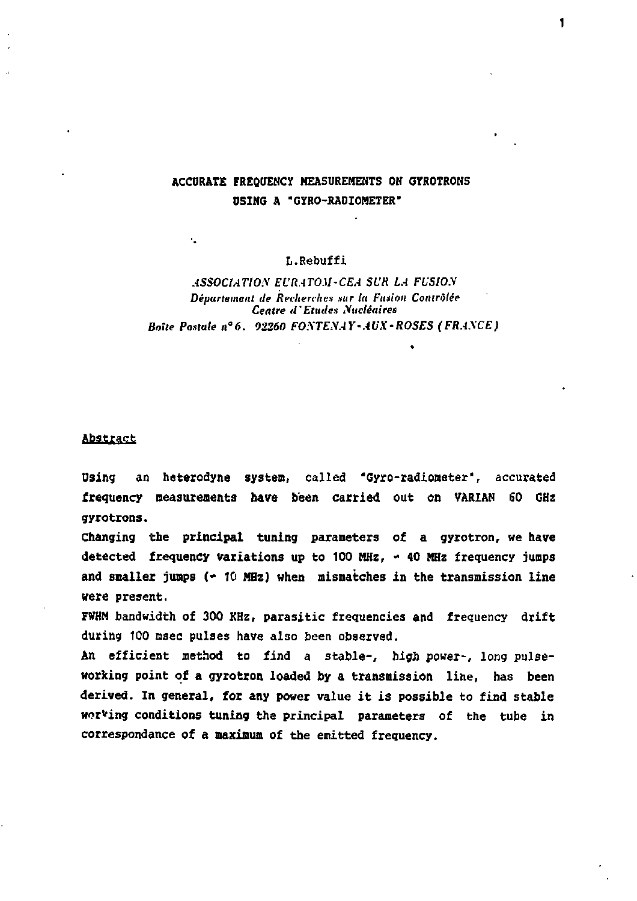## **ACCURATE FREQUENCY MEASUREMENTS OH GYROTRONS D5ING A "GYRO-RADIOMETER"**

### L.Rebuffi

### *ASSOCIATION EL'RATOM-CEA SCR LA FUSION Département de Recherches sur ta Fusion Contrôlée Centre d'Etudes Nucléaires Boite Postale n°6. 92260 FOSTENAY-AUX-ROSES (FRANCE)*

### Abstract

ĸ.

**Dsing an heterodyne system, called "Cyro-radiometer", accurated frequency measurements have been carried out on VARIAN 60 GHz gyrotrons.** 

**Changing the principal tuning parameters of a gyrotron, we have detected frequency variations up to 100 MHz, - 40 MHz frequency jumps and smaller jumps (- 10 MHz) when mismatches in the transmission line «ere present.** 

**FWHM bandwidth of 300 KHz, parasitic frequencies and frequency drift during 100 msec pulses have also been observed.** 

**An efficient method to find a stable-, high power-, long pulseworking point of a gyrotron loaded by a transmission line, has been derived. In general, for any power value it is possible to find stable wording conditions tuning the principal parameters of the tube in correspondance of a maximum of the emitted frequency.**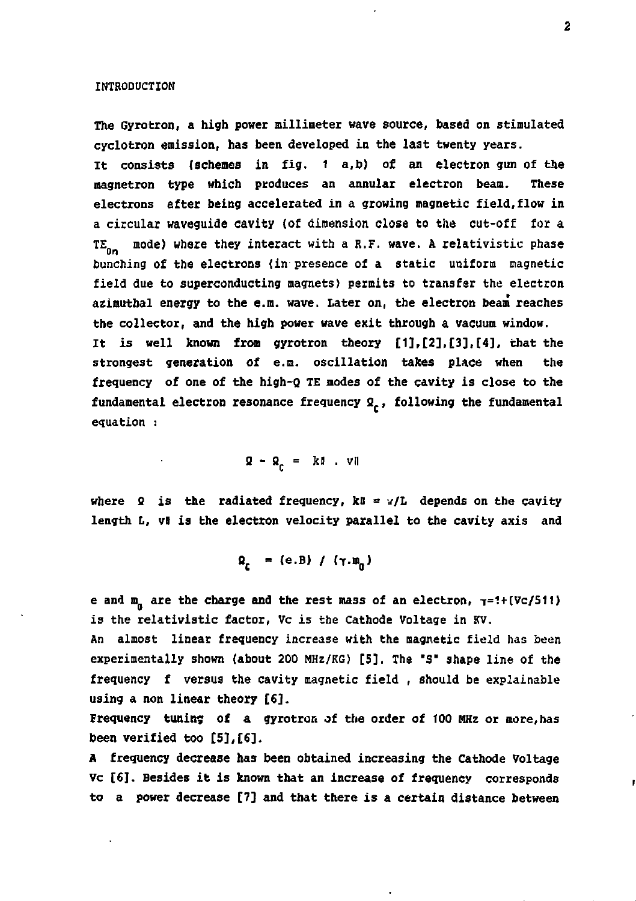#### **INTRODUCTION**

**The Gyrotron, a high power millimeter wave source, based on stimulated cyclotron emission, has been developed in the last twenty years. It consists (schemes in fig. 1 a,b) of an electron gun of the magnetron type which produces an annular electron beam. These electrons after being accelerated in a growing magnetic field,flow in a circular waveguide cavity (of dimension close to the cut-off for a**  TE<sub>D1</sub> mode) where they interact with a R.F. wave. A relativistic phase **bunching of the electrons (in presence of a static uniform magnetic field due to superconducting magnets) permits to transfer the electron azimutbal energy to the e.m. wave. Later on, the electron beam reaches the collector, and the high power wave exit through a vacuum window. It is well known from gyrotron theory [1],[2],[3],[4], chat the strongest generation of e.a. oscillation takes place when the frequency of one of the high-Q TE modes of the cavity is close to the**  fundamental electron resonance frequency Q<sub>r</sub>, following the fundamental **equation :** 

**B - Bc = Jtl . vll** 

where  $\Omega$  is the radiated frequency,  $k\theta = v/L$  depends on the cavity length L, vW is the electron velocity parallel to the cavity axis and

$$
Q_r = (e.B) / (\gamma.m_n)
$$

e and  $m_n$  are the charge and the rest mass of an electron,  $\tau=1+(Vc/511)$ **is the relativistic factor, Vc is the Cathode Voltage in KV.** 

**An almost linear frequency increase with the magnetic field has been experimentally shown (about 200 MHz/KG) [5]. The "S" shape line of the frequency f versus the cavity magnetic field , should be explainable using a non linear theory [£].** 

**Frequency tuning of a gyrotron of the order of 100 MHz or more,has been verified too [5],[6].** 

**A frequency decrease has been obtained increasing the Cathode Voltage**  Vc [6]. Besides it is known that an increase of frequency corresponds **to a power decrease [7] and that there is a certain distance between** 

ŗ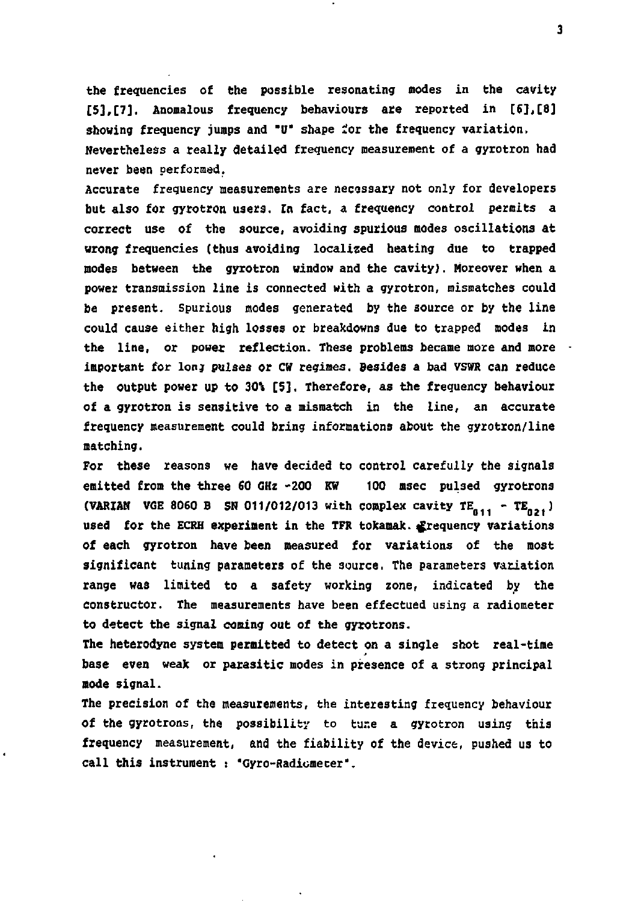**the frequencies of the possible resonating modes in the cavity [5],[7]. Anomalous frequency behaviours axe reported in [6],[8] showing frequency jumps and "0" shape** *ioi* **the frequency variation. Nevertheless a really detailed frequency measurement of a gyrotron had never been performed.** 

**Accurate frequency measurements are necessary not only for developers but also for gyrotron users. In fact, a frequency control permits a correct use of the source, avoiding spurious modes oscillations at wrong frequencies (thus avoiding localized heating due to trapped modes between the gyrotron window and the cavity]. Moreover when a power transmission line is connected with a gyrotron, mismatches could be present. Spurious modes generated by the source or by the line could cause either high losses or breakdowns due to trapped modes in the line, or power reflection. These problems became more and more important for Ion; pulses or CW regimes. Besides a bad VSWR can reduce the output power up to 30\* [5]. Therefore, as the frequency behaviour of a gyrotron is sensitive to a mismatch in the line, an accurate frequency measurement could bring informations about the gyrotron/line matching.** 

**For these reasons we have decided to control carefully the signals emitted from the three 50 GHz -200 KW 100 msec pulsed gyrotrons (VARIAM VGE 8060 B SN 011/012/013 with complex cavity**  $TE_{0,11} - TE_{0,21}$ **)** used for the ECRH experiment in the TFR tokamak. **f**requency variations **of each gyrotron have been measured for variations of the most significant tuning parameters of the source, The parameters variation range was limited to a safety working zone, indicated by the constructor. The measurements have been effectued using a radiometer to detect the signal coming out of the gyrotrons.** 

**The heterodyne system permitted to detect on a single shot real-time base even weak or parasitic modes in presence of a strong principal mode signal.** 

**The precision of the measurements, the interesting frequency behaviour of the gyrotrons, the possibility to tur.e a gytotron using this frequency measurement, and the fiability of the device, pushed us to call this instrument : "Gyro-Radiomecer".** 

**3**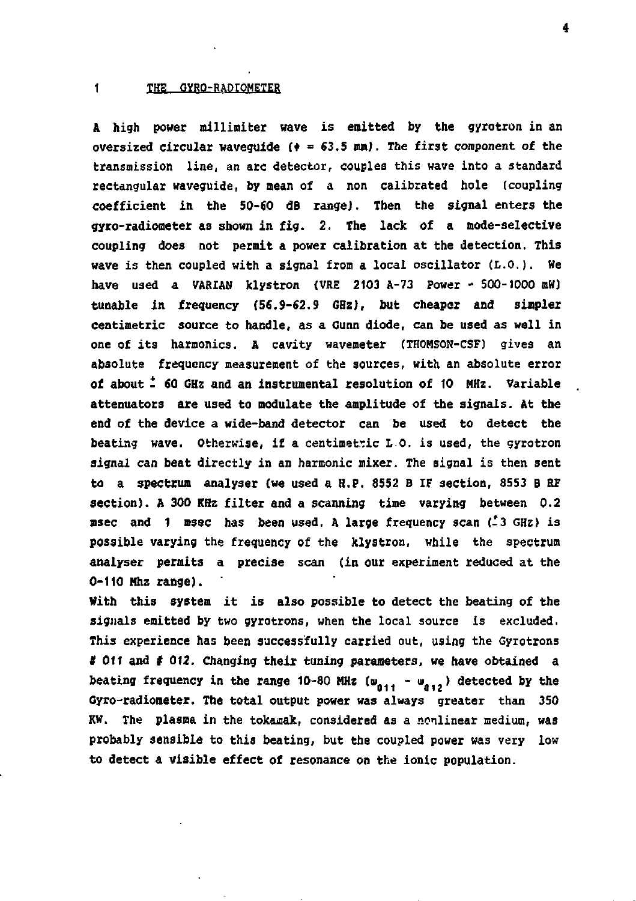#### **1 THE GYRO-RADIOMETER**

A high power millimiter wave is emitted by the gyrotron in an **oversized circular waveguide (• = 63.5 mm). The first component of the transmission line, an arc detector, couples this wave into a standard rectangular waveguide, by mean of a non calibrated hole (coupling coefficient in the 50-60 dB range). Then the signal enters the gyro-radiometer as shown in fig. 2. The lack of a mode-selective coupling does not permit a power calibration at the detection. This wave is then coupled with a signal from a local oscillator (L.O.). We have used a VARIAN klystron (VRE 2103 A-73 Power - 500-1000 mW) tunable in frequency (56.9-62.9 GHz), but cheaper and simplex centimetric source to handle, as a Gunn diode, can be used as well in one of its harmonics. A cavity wavemeter (THOMSON-CSF) gives an absolute frequency measurement of the sources, with an absolute error of about - 60 GHz and an instrumental resolution of 10 MHz. Variable attenuators are used to modulate the amplitude of the signals. At the end of the device a wide-band detector can be used to detect the beating wave. Otherwise, if a centimetric L 0. is used, the gyrotron signal can beat directly in an harmonic mixer. The signal is then sent to a spectrum analyser (we used a H.P. 8552 B IF section, 3553 B RF section). A 300 KHz filter and a scanning time varying between 0.2 msec and 1 msec has been used. A large frequency scan (-3 GHz) is possible varying the frequency of the klystron, while the spectrum analyser permits a precise scan (in our experiment reduced at the 0-110 Nhz range).** 

**With this system it is also possible to detect the beating of the signals emitted by two gyrotrons, when the local source is excluded. This experience has been successfully carried out, using the Gyrotrons**  *t* **Oil and** *t* **012. Changing their tuning parameters, we have obtained a**  beating frequency in the range 10-80 MHz  $(w_{011} - w_{012})$  detected by the **Gyro-radiometer. The total output power was always greater than 350 KW. The plasma in the tokamak, considered as a nonlinear medium, was probably sensible to this beating, but the coupled power was very low to detect a visible effect of resonance on the ionic population.**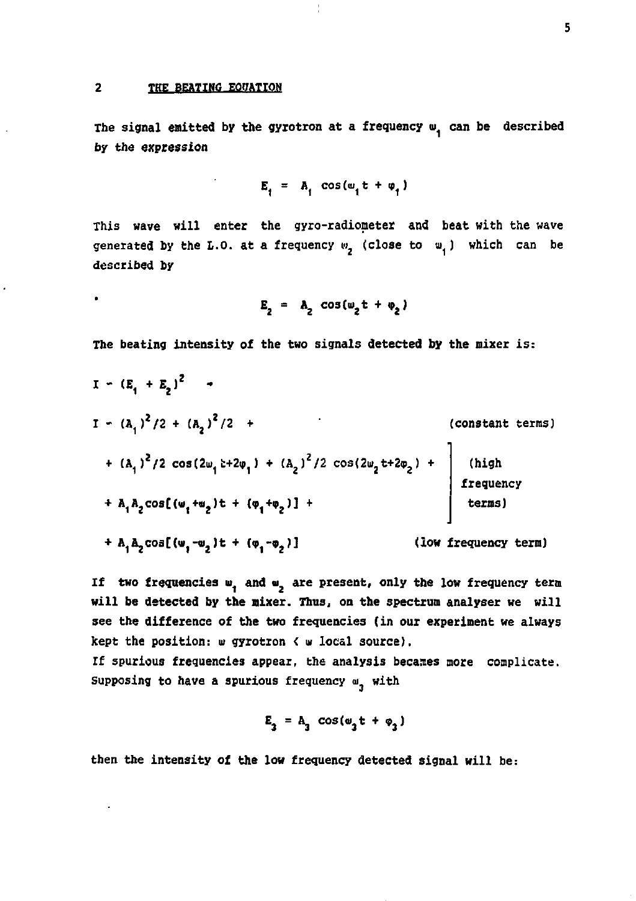$\ddot{\phantom{a}}$ 

The signal emitted by the gyrotron at a frequency w<sub>i</sub> can be described **by the expression** 

Ť

$$
E_1 = A_1 \cos(\omega_1 t + \varphi_1)
$$

**This wave will enter the gyro-radiometer and beat with the wave**  generated by the L.O. at a frequency  $w<sub>2</sub>$  (close to  $w<sub>4</sub>$ ) which can be **described by** 

$$
E_2 = A_2 \cos(\omega_2 t + \phi_2)
$$

**The beating intensity of the two signals detected by the mixer is:** 

$$
I - (E_1 + E_2)^2
$$
  
\n
$$
I - (A_1)^2 / 2 + (A_2)^2 / 2 + (A_2)^2 / 2 + (A_3)^2 / 2
$$
  
\n+  $(A_1)^2 / 2 \cos(2\omega_1 \pm 2\omega_1) + (A_2)^2 / 2 \cos(2\omega_2 \pm 2\omega_2) +$   
\n+  $A_1 A_2 \cos[(\omega_1 + \omega_2) \pm + (\omega_1 + \omega_2)] + (A_2)^2$   
\n+  $A_1 A_2 \cos[(\omega_1 - \omega_2) \pm + (\omega_1 - \omega_2)]$   
\n(10*w* frequency term)

If two frequencies w, and w, are present, only the low frequency term **will be detected by the nixer. Thus, on the spectrum analyser we will see the difference of the two frequencies (in our experiment we always kept the position:** *m* **gyrotron < w local source).** 

**If spurious frequencies appear, the analysis becaaes more complicate.**  Supposing to have a spurious frequency  $\mathbf{u}_n$  with

$$
E_3 = A_3 \cos(\omega_3 t + \varphi_3)
$$

**then the intensity of the low frequency detected signal will be:**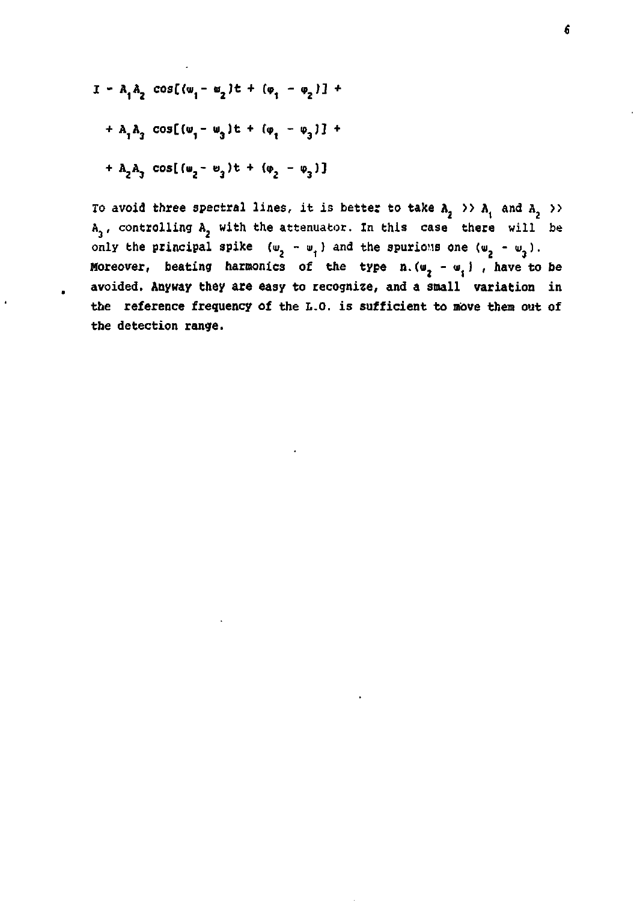$$
I - A_1 A_2 \cos[(w_1 - w_2)t + (w_1 - w_2)] +
$$
  
+ A\_1 A\_2 \cos[(w\_1 - w\_3)t + (w\_1 - w\_3)] +  
+ A\_2 A\_3 \cos[(w\_2 - w\_3)t + (w\_2 - w\_3)]

To avoid three spectral lines, it is better to take  $A_2 \rightarrow A_1$  and  $A_2 \rightarrow A_2$ **A , controlling A with the attenuator. In this case there will be**  only the principal spike  $(w_2 - w_1)$  and the spurious one  $(w_2 - w_1)$ . Moreover, beating harmonics of the type  $n.(w_2 - w_1)$ , have to be **avoided. Anyway they are easy to recognize, and a small variation in the reference frequency of the L.O. is sufficient to move them out of the detection range.**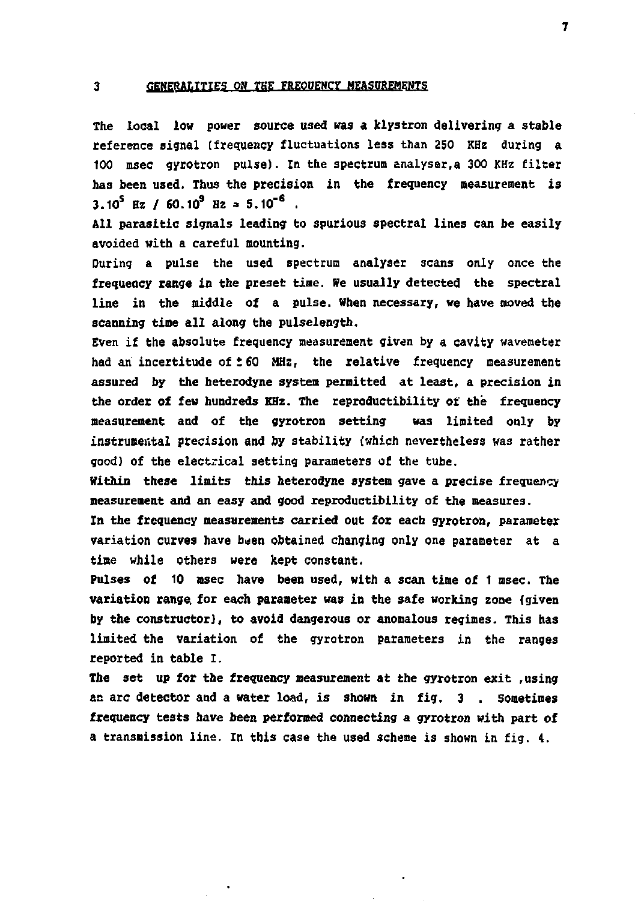#### 3 **GENERALITIES ON THE FREOUENCY MEASUREMENTS**

**The local low power source used was a klystron delivering a stable reference signal (frequency fluctuations less than 250 KHz during a 100 msec gyrotron pulse). In the spectrum analyser,a 300 KHz filter has been used. Thus the precision in the frequency measurement is 3.10<sup>s</sup> Hz / 60.109 Hz » 5.10"6 .** 

**A U parasitic signals leading to spurious spectral lines can be easily avoided with a careful mounting.** 

**During a pulse the used spectrum analyser scans only once the frequency range in the preset tine. We usually detected the spectral line in the middle of a pulse. When necessary, we have moved the scanning time all along the pulselength.** 

**Even if the absolute frequency measurement given by a cavity wavemeter had anincertitude of t60 MHz, the relative frequency measurement assured by the heterodyne system permitted at least, a precision in the order of few hundreds KHz. The reproducibility of thé frequency measurement and of the gyrotron setting was limited only by instrumental precision and by stability (which nevertheless was rather good) of the electrical setting parameters of the tube.** 

**Within these limits this heterodyne system gave a precise frequency measurement and an easy and good reproductibility of the measures.** 

**In the frequency measurements carried out for each gyrotron, parameter variation curves have been obtained changing only one parameter at a time while others were kept constant.** 

**Pulses of 10 msec have been used, with a scan time of 1 msec. The variation range, for each parameter was in the safe working zone (given by the constructor), to avoid dangerous or anomalous regimes. This has limited the variation of the gyrotron parameters in the ranges reported in table I.** 

**The set up for the frequency measurement at the gyrotron exit .using an arc detector and a water load, is shown in fig. 3 . sometimes frequency tests have been performed connecting a gyrotron with part of a transmission line. In this case the used scheme is shown in fig. 4.** 

**7**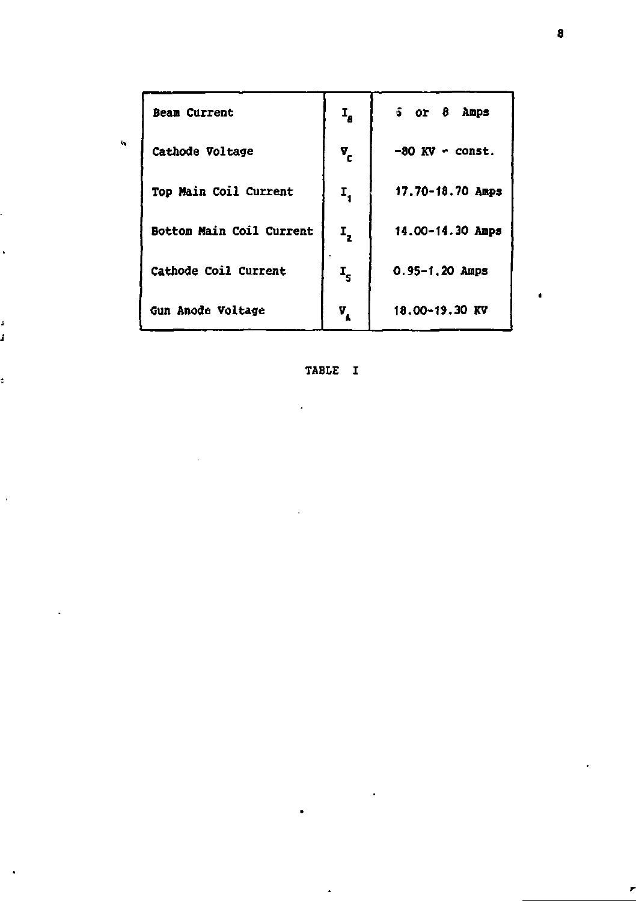| <b>Beam Current</b>          | 1,                        | $5$ or $8$ Amps        |
|------------------------------|---------------------------|------------------------|
| Cathode Voltage              | ण.<br>"                   | $-80$ KV $\sim$ const. |
| <b>Top Main Coil Current</b> | Ι,                        | 17.70-18.70 Amps       |
| Bottom Main Coil Current     | $\mathbf{r}_{\mathbf{z}}$ | 14.00-14.30 Amps       |
| Cathode Coil Current         | $\mathbf{r}_\mathbf{s}$   | $0.95 - 1.20$ Amps     |
| Gun Anode Voltage            | ν.                        | 18.00-19.30 KV         |

TABLE I

, j

ś

Ł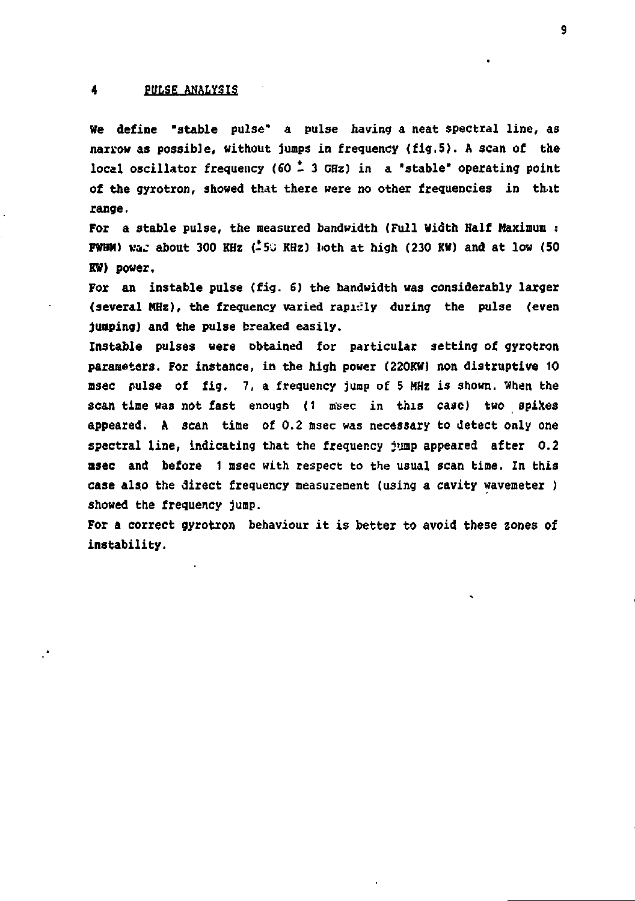### **4 PULSE ANALYSIS**

**He define 'stable pulse" a pulse having a neat spectral line, as narrow as possible, without jumps in frequency (fig.5). A scan of the**  local oscillator frequency (60  $\stackrel{*}{\sim}$  3 GHz) in a "stable" operating point **of the gyrotron, showed that there were no other frequencies in [th.it](http://th.it)  range.** 

**For a stable pulse, the measured bandwidth (Full Width Half Maximum : FWHM) waj about 300 KHz (-5J KHz) lioth at high (230 KW) and at low (50 KW) power.** 

**For an instable pulse (fig. 6) the bandwidth was considerably larger (several MHz), the frequency varied rapi-.Uy during the pulse (even jumping)** and the pulse breaked easily.

**Instable pulses «ere obtained for particular setting of gyrotron parameters. For instance, in the high power (220KW) non distruptive 10 nsec pulse of fig. 7, a frequency jump of 5 MHz is shown. When the scan time was not fast enough (1 msec in this case) two spiXes appeared. A scan time of 0.2 m3ec was necessary to detect only one spectral line, indicating that the frequency jump appeared after 0.2 msec and before 1 msec with respect to the usual scan time. In this case also the direct frequency measurement (using a cavity wavemeter ) showed the frequency jump.** 

**For a correct gyrotron behaviour it is better to avoid these zones of instability.**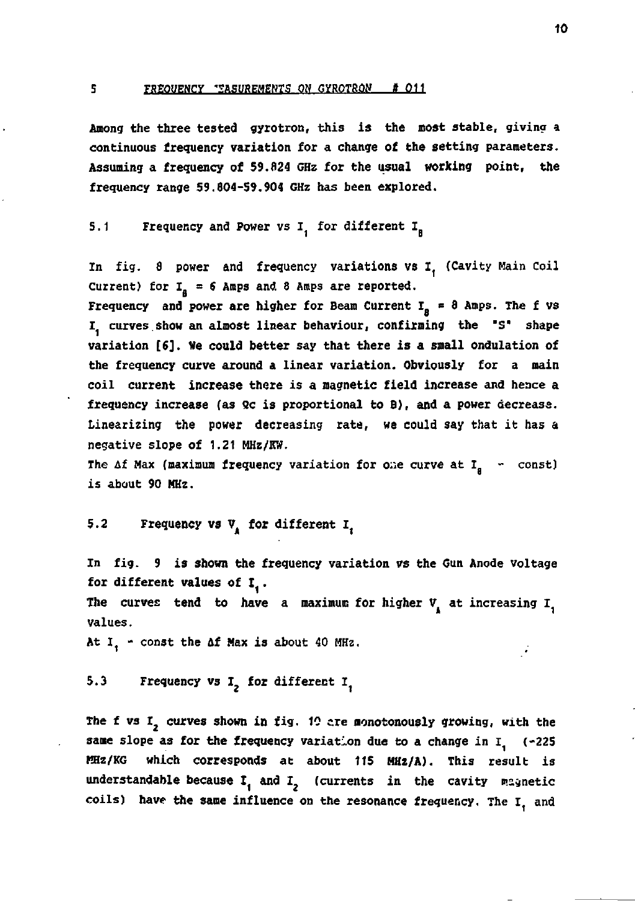### **s FREOUENCY EASUREMENTS ON GYROTRON # 011**

**Among the three tested gyrotron, this is the most stable, giving a continuous frequency variation for a change of the setting parameters. Assuming a frequency of 59.024 GHz for the usual working point, the frequency range 59.804-59.904 GHz has been explored.** 

5.1 **Frequency and Power vs I**, for different I<sub>n</sub>

**In fig. a power and frequency variations vs I (Cavity Main Coil**  Current) for  $I_a = 6$  Amps and 8 Amps are reported. **Frequency** and power are higher for Beam Current  $I_n = \theta$  Amps. The f vs **I curves show an almost linear behaviour, confirming the 'S' shape variation [8]. We could better say that there is a small ondulation of the frequency curve around a linear variation. Obviously for a main coil current increase there is a magnetic field increase and hence a**  frequency increase (as Qc is proportional to B), and a power decrease. **Linearizing the power decreasing rate, we could say that it has a negative slope of 1.21 MHz/KW.** 

The  $\Delta f$  Max (maximum frequency variation for one curve at  $I_n$  - const) **is about 90 MHz.** 

## **5.2** Frequency vs V<sub>1</sub> for different I<sub>z</sub>

**In fig. 9 is shown the frequency variation vs the Gun Anode Voltage for different values of I** *.*  The curves tend to have a maximum for higher V<sub>1</sub> at increasing I<sub>1</sub> **values.** 

At I<sub>,</sub> - const the Af Max is about 40 MHz.

**5.3** Frequency vs I<sub>2</sub> for different I<sub>1</sub>

**The f vs** *I2* **curves shown in fig. 10 ere monotonously growing, with the**  same slope as for the frequency variation due to a change in I<sub>1</sub> (-225) **KHz/KG which corresponds at about 115 MHz/A). This result is**  understandable because I<sub>1</sub> and I<sub>2</sub> (currents in the cavity magnetic coils) have the same influence on the resonance frequency. The I<sub>1</sub> and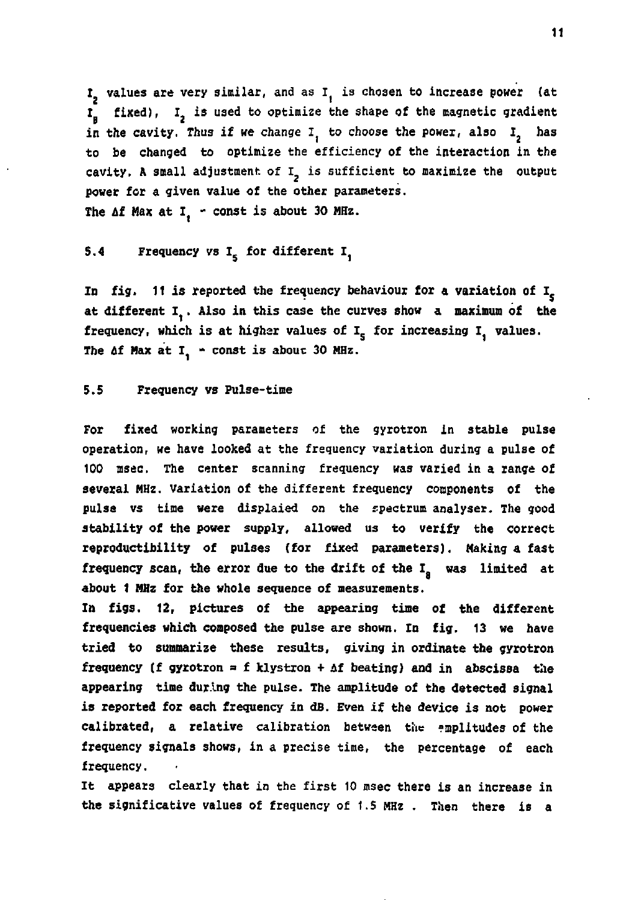I<sub>2</sub> values are very similar, and as I<sub>1</sub> is chosen to increase power (at I<sub>n</sub> fixed), I<sub>2</sub> is used to optimize the shape of the magnetic gradient in the cavity. Thus if we change  $I_1$  to choose the power, also  $I_2$  has **to be changed to optimize the efficiency of the interaction in the**  cavity. A small adjustment of I<sub>2</sub> is sufficient to maximize the output **power for a given value of the other parameters.**  The Af Max at I<sub>1</sub> - const is about 30 MHz.

## **5.4 Frequency vs I for different** *1^*

In fig. 11 is reported the frequency behaviour for a variation of I<sub>r</sub> **at different I,. Also in this case the curves show a maximum of the**  frequency, which is at higher values of I<sub>c</sub> for increasing I. values. The Af Max at I, - const is about 30 MHz.

### **5.5 Frequency vs Pulse-time**

**For fixed working parameters of the gyrotron in stable pulse operation, we have looked at the frequency variation during a pulse of 100 msec. The center scanning frequency was varied in a range of several MHz. Variation of the different frequency components of the pulse vs time were displaied on the spectrum analyser. The good stability of the power supply, allowed us to verify the correct reproductibility of pulses (for fixed parameters). Making a fast**  frequency scan, the error due to the drift of the I<sub>n</sub> was limited at **about 1 MHz for the whole sequence of measurements.** 

**In figs. 12, pictures of the appearing time of the different frequencies which composed the pulse are shown. In fig. 13 we have tried to summarize these results, giving in ordinate the gyrotron frequency (f gyrotron a f klystron + if beating) and in abscissa the appearing time during the pulse. The amplitude of the detected signal is reported for each frequency in dB. Even if the device is not power calibrated, a relative calibration between the amplitudes of the frequency signals shows, in a precise time, the percentage of each frequency.** 

**It appears clearly that in the first 10 msec there is an increase in the significative values of frequency of 1.5 MHz . Then there is a**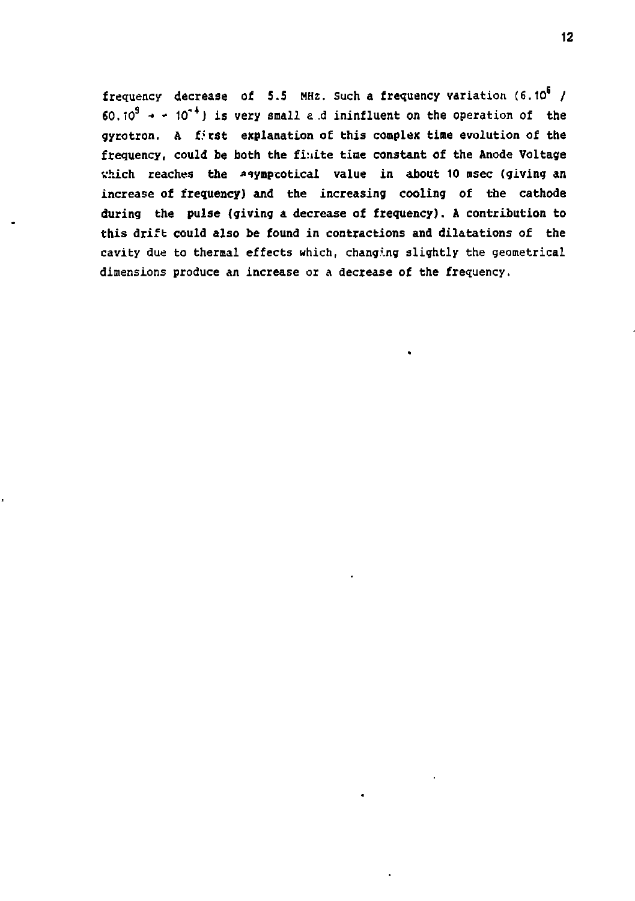**frequency decrease of 5.5 MHz. Such a frequency variation (6.10 /**   $60.10^9$   $\rightarrow$   $\cdot$  10<sup>-4</sup>) is very small a d ininfluent on the operation of the **gyrotron. A f.'tst explanation of this complex time evolution of the frequency, could be both the finite tiae constant of the Anode Voltage which reaches the asymptotical value in about 10 msec (giving an increase of frequency) and the increasing cooling of the cathode during the pulse (giving a decrease of frequency). A contribution to this drift could also be found in contractions and dilatations of the cavity due to thermal effects which, changing slightly the geometrical dimensions produce an increase or a decrease of the frequency.**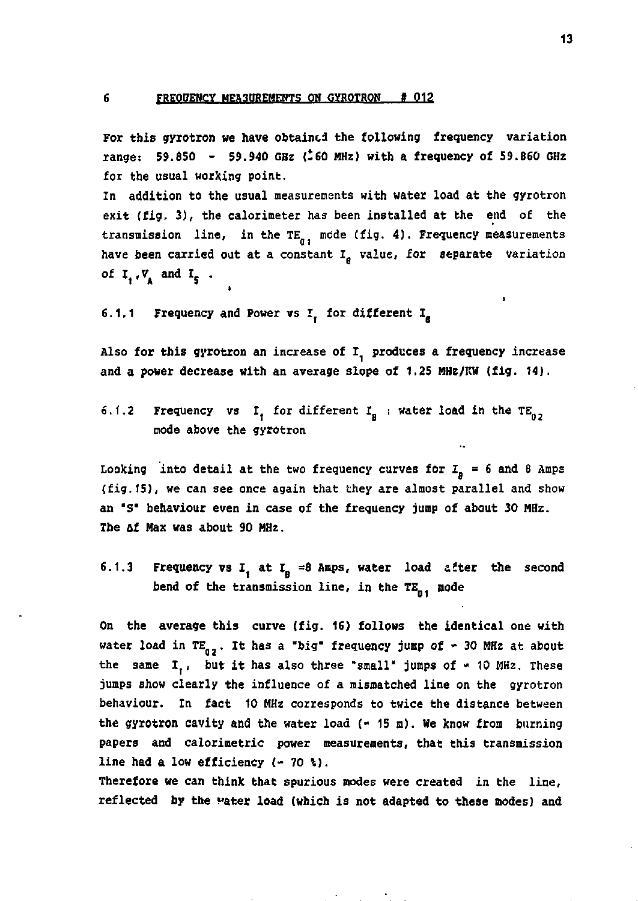**6 FREQUENCY MEA30REMEHTS ON OYROTRON** *»* **012** 

**For tbis gyrotron we have obtained the following frequency variation range: 59.850 - 59.940 GHz (-60 MHz) with a frequency of 59.860 GHz for the usual working point.** 

**In addition to the usual measurements with water load at the gyrotron exit (fig. 3), the calorimeter has been installed at the end of the**  transmission line, in the  $TE_{g_1}$  mode (fig. 4). Frequency measurements **have been carried out at a constant Ie value, for separate variation**  of  $I_1, V_2$  and  $I_5$ .

**6.1.1 Frequency and Power vs I, for different I** 

Also for this gyrotron an increase of I<sub>1</sub> produces a frequency increase **and a power decrease with an average slope of 1.25 HHz/KW (fig. 14).** 

**5.1.2** Frequency vs I, for different  $I_n$  : water load in the  $TE_n$ , **mode above the gyrotron** 

Looking into detail at the two frequency curves for  $I_n = 6$  and  $8$  Amps **(fig.15), we can see once again that they are almost parallel and show an "s" behaviour even in case of the frequency jump of about 30 MHz. The of Max was about 90 MHz.** 

**6.1.3** Frequency vs I, at I<sub>n</sub> =8 Amps, water load after the second bend of the transmission line, in the TE<sub>n1</sub> mode

**On the average tbis curve (fig. 16) follows the identical one with water load in TE . It has a "big" frequency jump of » 30 MHz at about**  the same I., but it has also three "small" jumps of  $\sim$  10 MHz. These **jumps show clearly the influence of a mismatched line on the gyrotron behaviour. In fact 10 MHz corresponds to twice the distance between**  the gyrotron cavity and the water load (- 15 m). We know from burning **papers and calorinetric power measurements, that this transmission line bad a low efficiency (- 70 4).** 

**Therefore we can think that spurious modes were created in the line, reflected by the Hater load (which is not adapted to these modes) and**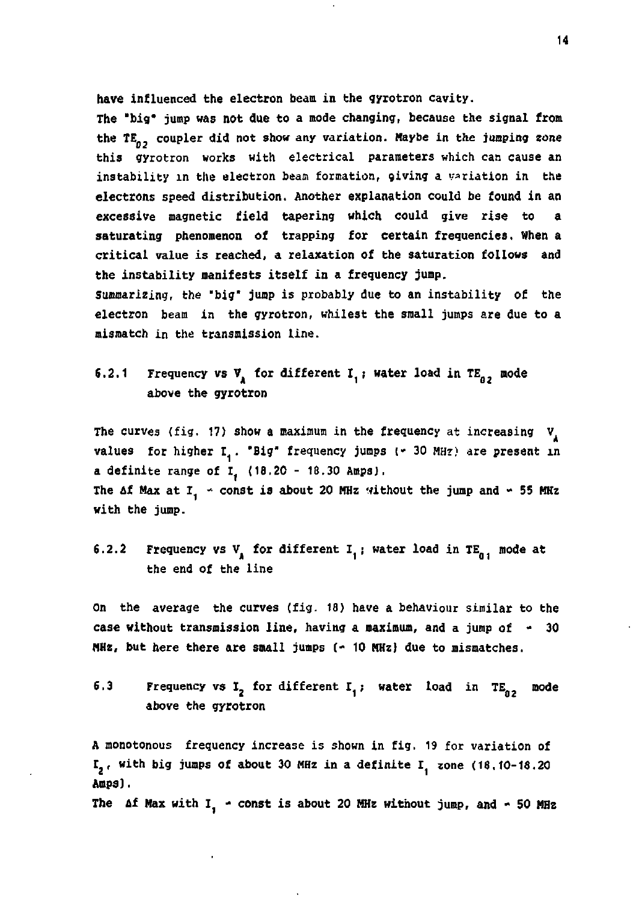**have influenced the electron beam in the gyrotron cavity.** 

**The "big\* jump was not due to a mode changing, because the signal front**  the TE<sub>nn</sub> coupler did not show any variation. Maybe in the jumping zone **this gyrotron works with electrical parameters which can cause an instability in the electron beam formation, giving a variation in the electrons speed distribution. Another explanation could be found in an excessive magnetic field tapering which could give rise to a saturating phenomenon of trapping for certain frequencies. When a critical value is reached, a relaxation of the saturation follows and the instability manifests itself in a frequency jump.** 

**Summarizing, the "big" jump is probably due to an instability of the electron beam in the gyrotron, whilest the small jumps are due to a mismatch in the transmission line.** 

## **6.2.1** Frequency vs V, for different I, ; water load in TE<sub>n</sub>, mode **above the gyrotron**

The curves (fig. 17) show a maximum in the frequency at increasing V<sub>1</sub> values for higher I. . "Big" frequency jumps ( $\cdot$  30 MHz) are present in **a definite range of I (18,20 - 18.30 Amps), The af Max at I1 - const is about 20 MHz without the jump and - 55 MHz with the jump.** 

## **6.2.2** Frequency vs  $V_{\lambda}$  for different  $I_{\lambda}$ ; water load in  $TE_{n,i}$  mode at **the end of the line**

**On the average the curves (fig. 18) have a behaviour similar to the case without transmission line, having a maximum, and a jump of - 30 MHz, but here there are small jumps (- 10 MHz) due to mismatches.** 

**6.3** Frequency vs I<sub>2</sub> for different I<sub>4</sub>; water load in TE<sub>n2</sub> mode **above the gyrotron** 

**A monotonous frequency increase is shown in fig. 19 for variation of**  I<sub>2</sub>, with big jumps of about 30 MHz in a definite I<sub>1</sub> zone (18.10-18.20 **Amps).** 

The  $\Delta f$  Max with I<sub>1</sub> - const is about 20 MHz without jump, and  $\sim$  50 MHz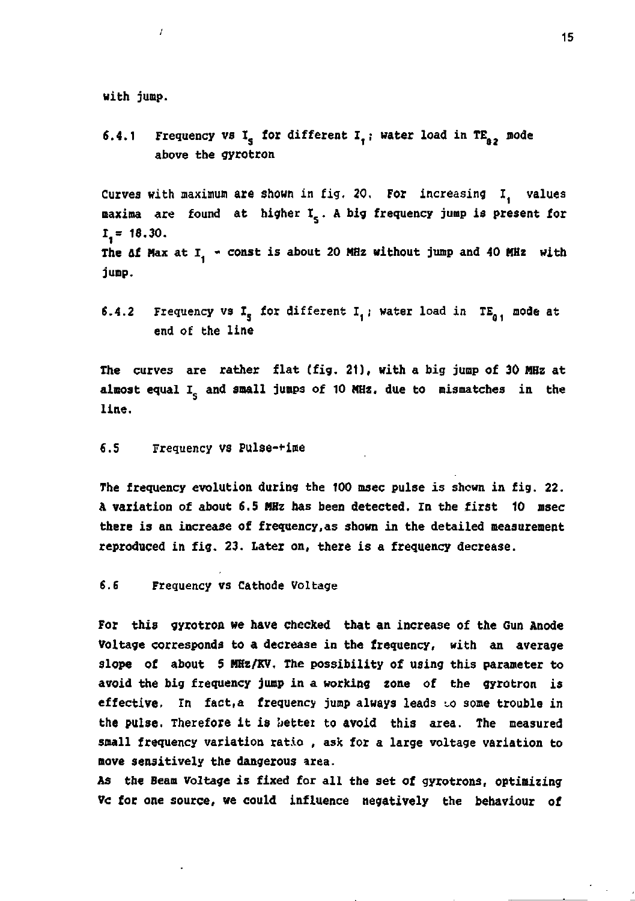**with jump.** 

Ī

**6.4.1** Frequency vs  $I_c$  for different  $I_t$ ; water load in  $TE_a$ , mode **above the gyrotron** 

Curves with maximum are shown in fig. 20. For increasing I<sub>,</sub> values **maxima are found at higher I<sup>s</sup> . A big frequency jump is present for 1,= 18.30.**  The  $\Delta f$  Max at  $I_1$   $\sim$  const is about 20 MHz without jump and 40 MHz with **jump.** 

**6.4.2** Frequency vs  $I_s$  for different  $I_t$ ; water load in  $TE_a$ , mode at **end of the line** 

**The curves are rather flat (fig. 21), with a big jump of 30 MHz at**  almost equal I<sub>c</sub> and small jumps of 10 MHz, due to mismatches in the **line.** 

**6.5 Frequency vs Pulse-\*ime** 

**The frequency evolution during the 100 msec pulse is shown in fig. 22. A variation of about 6.5 HHz has been detected. In the first 10 msec there is an increase of frequency,as shown in the detailed measurement reproduced in fig. 23. Later on, there is a frequency decrease.** 

**6.6 Frequency vs Cathode Voltage** 

**For this gyrotron we have checked that an increase of the Gun Anode Voltage corresponds to a decrease in the frequency, with an average slope of about 5 HKz/KV. The possibility of using this parameter to avoid the big frequency jump in a working zone of the gyrotron is effective.** In fact, a frequency jump always leads to some trouble in the pulse. Therefore it is better to avoid this area. The measured **small frequency variation ratio , ask for a large voltage variation to move sensitively the dangerous area.** 

**As the Beam Voltage is fixed for all the set of gyrotrons, optimizing Vc for one source, we could influence negatively the behaviour of** 

15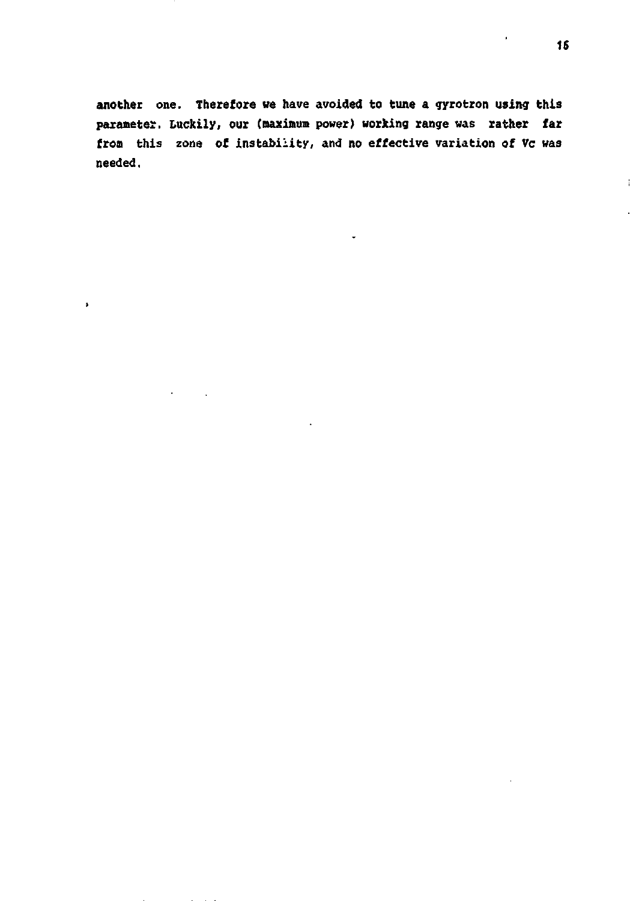**another one. Therefore we have avoided to tune a gyrotron using this parameter. Luckily, our (maximum power) working range** was **rather far from** this zone of instability, and no **effective** variation **of** Vc was needed.

 $\lambda$ 

 $\ddot{\phantom{a}}$ 

 $\ddot{\phantom{1}}$ 

f.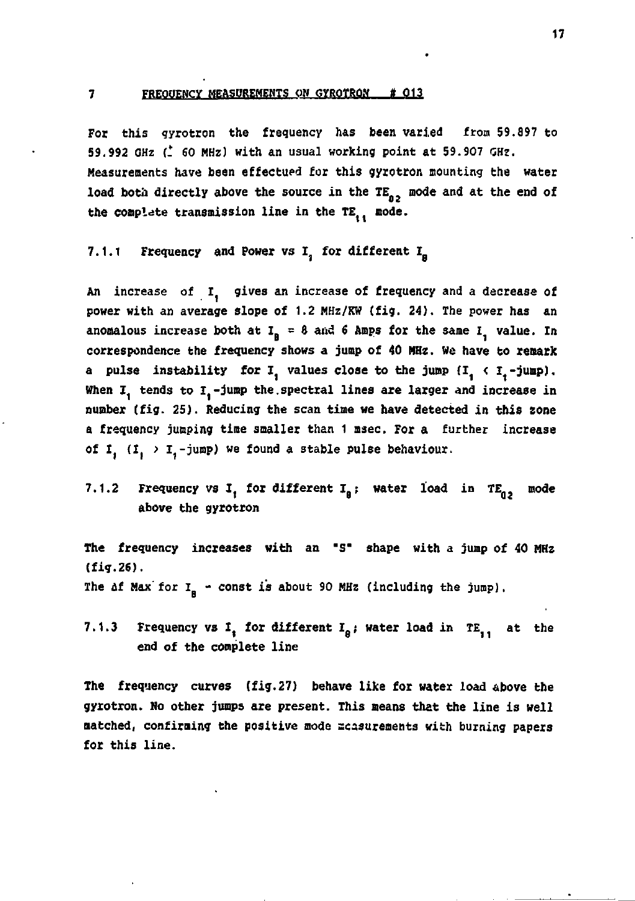### 7 FREQUENCY MEASUREMENTS ON GYROTRON # 013

**For this gyrotron the frequency has been varied from 59.897 to 59.992 CH2 {. 60 MHz) with an usual working point at 59.907 GHz. Measurements have been effectued for this gyrotron mounting the water**  load both directly above the source in the TE<sub>n,</sub> mode and at the end of the complete transmission line in the TE<sub>11</sub> mode.

**7.1.1 Frequency and Power vs I, for different I<sup>8</sup>**

**An increase of I. gives an increase of frequency and a decrease of power with an average slope of 1.2 MHz/KW (fig. 24). The power has an**  anomalous increase both at  $I_n = 8$  and 6 Amps for the same I<sub>,</sub> value. In **correspondence the frequency shows a jump of 40 MHz. We have to remark a** pulse instability for  $I$ , values close to the jump  $(I, \langle I, -jump \rangle)$ . When I<sub>1</sub> tends to I<sub>1</sub>-jump the spectral lines are larger and increase in **number (fig. 25). Reducing the scan time we have detected in this zone a frequency jumping time smaller than 1 msec. For a further increase**  of  $I_1$  ( $I_2$ )  $I_3$ -jump) we found a stable pulse behaviour.

7.1.2 Frequency vs I, for different  $I_a$ ; water load in TE<sub>n,</sub> mode **above the gyrotron** 

**The frequency increases with an "S" shape with a jump of 40 MHz (fig.26).** 

The *af* Max' for I<sub>n</sub> - const is about 90 MHz (including the jump).

7.1.3 Frequency vs I<sub>i</sub> for different  $I_p$ ; water load in TE<sub>1</sub>, at the **end of the complete line** 

**The frequency curves (fig.27) behave like for water load above the gyxotron. No other jumps are present. This means that the line is well matched, confirming the positive mode scasurements with burning papers for this line.**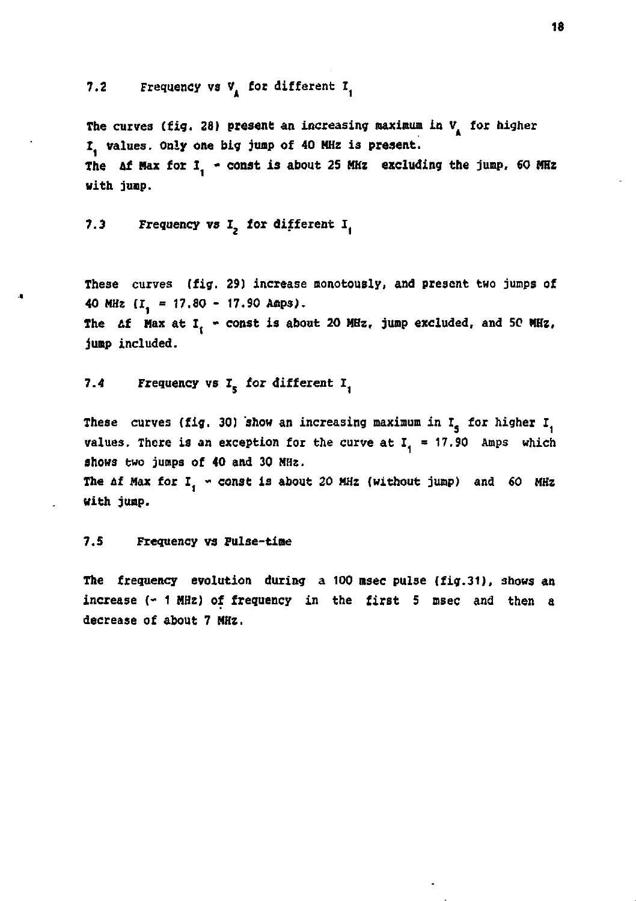7.2 Frequency vs V<sub>1</sub> for different I<sub>1</sub>

The curves (fig. 28) present an increasing maximum in V<sub>a</sub> for higher **I values. Only one big jump of 40 MHz is present.**  The Af Max for I<sub>1</sub> - const is about 25 MHz excluding the jump, 60 MHz **with jump.** 

7.3 Frequency vs I<sub>2</sub> for different I.

**These curves (fig. 29) increase monotously, and present two jumps of 40 HHz (I] = 17.SO - 17.90 Amps).**  The  $\Delta f$  Max at I<sub>t</sub> - const is about 20 MHz, jump excluded, and 50 MHz, **jump included.** 

7.4 Frequency vs  $I_{\kappa}$  for different  $I_{\kappa}$ 

These curves (fig. 30) show an increasing maximum in  $I_s$  for higher  $I_s$ **values.** There is an exception for the curve at  $I_1 = 17.90$  Amps which shows two jumps of 40 and 30 MHz.

The Af Max for I<sub>, "</sub> const is about 20 MHz (without jump) and 60 MHz **with jump.** 

**7.5 Frequency vs Pulse-time** 

**The frequency evolution during a 100 msec pulse (fig.31), shows an increase (- 1 HHz) of frequency in the first 5 msec and then a decrease of about 7 HHz.**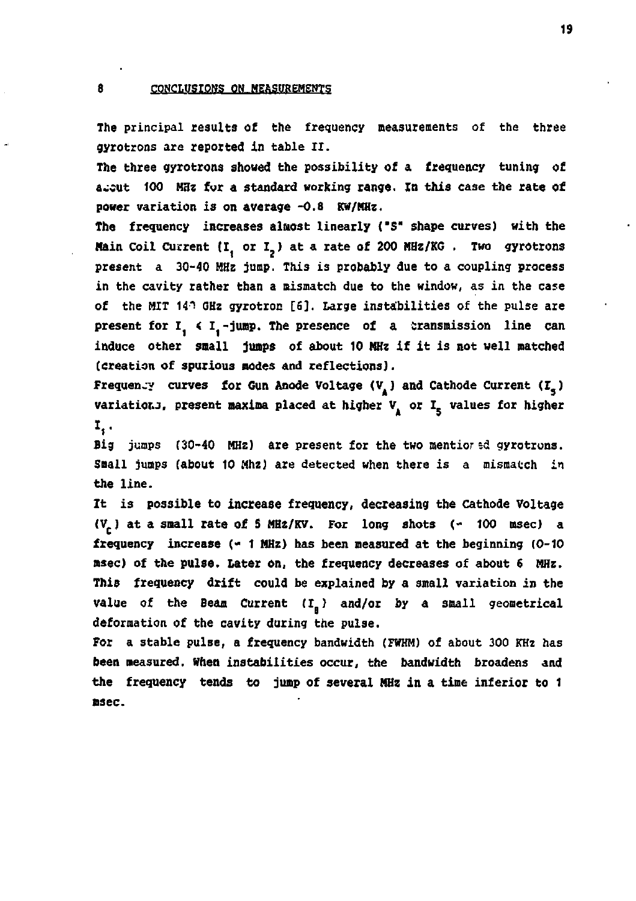**The principal results of the frequency measurements of the three gyrotrons are reported in table II.** 

**The three gyrotrons showed the possibility of a frequency tuning of a «cut 100 MHz fur a standard working range. In this case the rate of power variation is on average -0.8 KW/MHz.** 

**The frequency increases almost linearly ("5" shape curves) with the Main Coil Current (I, or I<sub>2</sub>) at a rate of 200 MHz/KG. Two gyrotrons present a 30-40 HHz jump. This is probably due to a coupling process in the cavity rather than a mismatch due to the window, as in the case**  of the MIT 14<sup>h</sup> GHz gyrotron [6]. Large instabilities of the pulse are present for I<sub>1</sub> < I<sub>1</sub>-jump. The presence of a transmission line can **induce other snail jumps of about 10 MHz if it is not well matched (creation of spurious modes and reflections).** 

**Frequency curves for Gun Anode Voltage (V) and Cathode Current (I.) variatior.J, present maxima placed at higher V or I. values for higher**  Ι,.

**Big jumps (30-40 MHz) are present for the two mentior***li* **gyrotrons. Small jumps (about 10 Mhz) are detected when there is a mismatch in the line.** 

**It is possible to increase frequency, decreasing the cathode Voltage (V ) at a small rate of S HHz/KV. For long shots (- 100 msec) a frequency increase (- 1 HHz) has been measured at the beginning (0-10 msec) of the pulse. Later on, the frequency decreases of about 6 MHz. This frequency drift could be explained by a small variation in the value of the Beam Current (I.) and/or by a small geometrical deformation of the cavity during the pulse.** 

**For a stable pulse, a frequency bandwidth (FWHM) of about 300 KHz has been measured. When instabilities occur, the bandwidth broadens and the frequency tends to jump of several HHz in a time inferior to 1 msec.**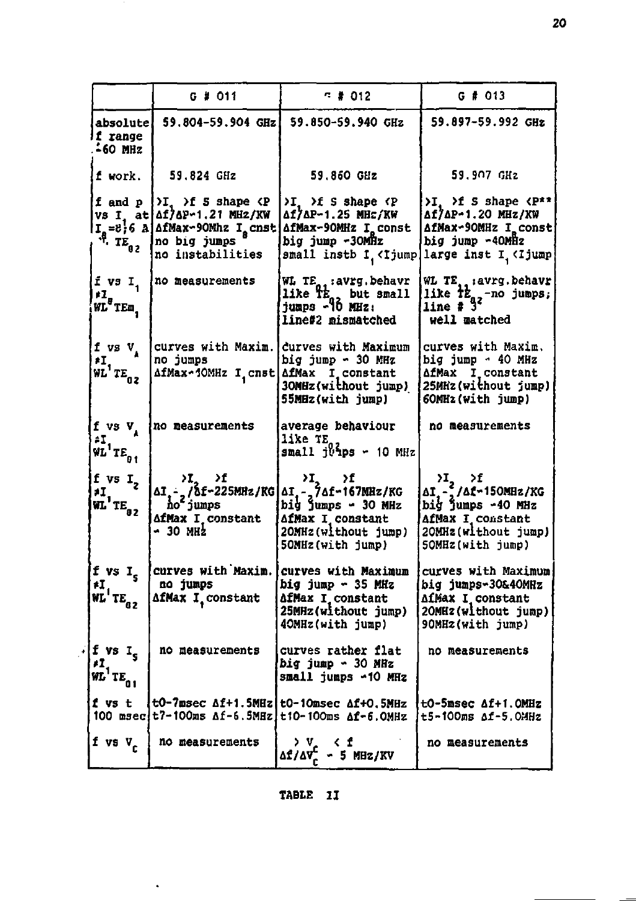|                                                                                                     | G # 011                                                                                                                                                                                      | $-7012$                                                                                                                                                                                                                                                                                              | $G$ # 013                                                                                                                                                                       |
|-----------------------------------------------------------------------------------------------------|----------------------------------------------------------------------------------------------------------------------------------------------------------------------------------------------|------------------------------------------------------------------------------------------------------------------------------------------------------------------------------------------------------------------------------------------------------------------------------------------------------|---------------------------------------------------------------------------------------------------------------------------------------------------------------------------------|
| absolute!<br><i>li range</i><br>$-60$ MHz                                                           |                                                                                                                                                                                              | 59.804-59.904 GHz 59.850-59.940 GHz                                                                                                                                                                                                                                                                  | 59.897-59.992 GHz                                                                                                                                                               |
| f work.                                                                                             | 59.824 GHz                                                                                                                                                                                   | 59.860 GHz                                                                                                                                                                                                                                                                                           | 59.907 GHz                                                                                                                                                                      |
|                                                                                                     | f and $p \nvert \nvert I$ , $\nvert$ 5 shape $\langle P \rangle$<br>VS I at Af/AP-1.21 MHz/KW<br>$Ig = 8.6$ A af Max-90Mhz $Ig$ cnst<br>$\ddot{B}$ , $TE02$ no big jumps<br>no instabilities | $\forall I$ , $\forall f$ S shape $\forall P$<br>Δ17ΔP-1.25 MHz/KW<br>AfMax-90MHz I const<br>big jump -30MHz<br>small instb I <ijump large <ijump <="" i="" inst="" td=""><td>&gt;I, &gt;f S shape <p**<br>Af/AP-1.20 MHz/KW<br/>AfMax-90MHz I const<br/>big jump ~40MHz</p**<br></td></ijump large> | >I, >f S shape <p**<br>Af/AP-1.20 MHz/KW<br/>AfMax-90MHz I const<br/>big jump ~40MHz</p**<br>                                                                                   |
| i vs I.<br>$\frac{1}{\text{WL}^2}$ TEm                                                              | no measurements                                                                                                                                                                              | WL TE <sub>nc</sub> : avrg. behavr<br>like the but small<br>jumps -10 MHz:<br>line#2 mismatched                                                                                                                                                                                                      | WL TE. : avrg. behavr<br>like $t_{qz}$ -no jumps;<br>line # 3 <sup>2</sup><br>well matched                                                                                      |
| f vs $V_A$<br>$\sum_{\texttt{WL}^{\dagger}}^{\neq} \texttt{TE}_{02}$                                | no jumps<br>AfMax-10MHz I, cnst AfMax I constant                                                                                                                                             | curves with Maxim. curves with Maximum<br>big jump - 30 MHz<br>30MHz(without jump)<br>55MHz(with jump)                                                                                                                                                                                               | curves with Maxim.<br>big jump - 40 MHz<br>AfMax I constant<br>25MHz(without jump)<br>60MHz(with jump)                                                                          |
| f vs $V_{1}$<br>$\begin{array}{l} \mathbf{F1} \\ \mathbf{F2} \\ \mathbf{F1} \end{array} \mathbf{E}$ | no measurements                                                                                                                                                                              | average behaviour<br>like TE<br>small jvips - 10 MHz                                                                                                                                                                                                                                                 | no measurements                                                                                                                                                                 |
| f vs $I_2$<br>$\overline{H}_{\overline{u}}$ <sup>1</sup> TE <sub>02</sub>                           | <b>AfMax I constant</b><br>- 30 мн2                                                                                                                                                          | $\begin{vmatrix}\n\lambda I & \lambda I & \lambda I \\ \Delta I & \lambda I & \lambda I\n\end{vmatrix}$<br>$\begin{vmatrix}\n\lambda I & \lambda I \\ \lambda I & \lambda I\n\end{vmatrix}$ = 76f-167MHz/KG<br>AfMax I constant<br>20MHz(without jump)<br>50MHz(with jump)                           | $\lambda I$ <sub>2</sub> $\lambda f$<br>$\Delta I$ <sub>1</sub> - 2/ $\Delta f$ - 150MHz/KG<br>big jumps -40 MHz<br>AfMax I constant<br>20MHz(without jump)<br>50MHz(with jump) |
| f vs $I_s$<br>ŧI.<br>$\hat{\texttt{WL}}^1$ TE <sub>62</sub>                                         | no jumps<br>AfMax I constant                                                                                                                                                                 | Curves with Maxim. curves with Maximum<br>big jump - 35 MHz<br>AfMax I constant<br>25MHz(without jump)<br>40MHz(with jump)                                                                                                                                                                           | curves with Maximum<br>big jumps-30&40MHz<br><b>AfMax I constant</b><br>20MHz(without jump)<br>90MHz(with jump)                                                                 |
| $\sqrt{f}$ vs I <sub>s</sub><br>$\frac{1}{N}$ <sup>1</sup> TE <sub>01</sub>                         | no measurements                                                                                                                                                                              | curves rather flat<br>big jump ~ 30 MHz<br>small jumps -10 MHz                                                                                                                                                                                                                                       | no measurements                                                                                                                                                                 |
| f vs t                                                                                              |                                                                                                                                                                                              | t0-7msec Af+1.5MHz t0-10msec Af+0.5MHz<br>100 msecit7-100ms Af-6.5MHz t10-100ms Af-6.0MHz                                                                                                                                                                                                            | tO-5msec Af+1.OMHz<br>t5-100ms Af-5.0MHz                                                                                                                                        |
| f vs $V_c$                                                                                          | no measurements                                                                                                                                                                              | K f<br>> v∴<br>$\Delta f/\Delta V_c^C$ - 5 MHz/KV                                                                                                                                                                                                                                                    | no measurements                                                                                                                                                                 |

## **TABLE II**

 $\hat{\phantom{a}}$ 

**20**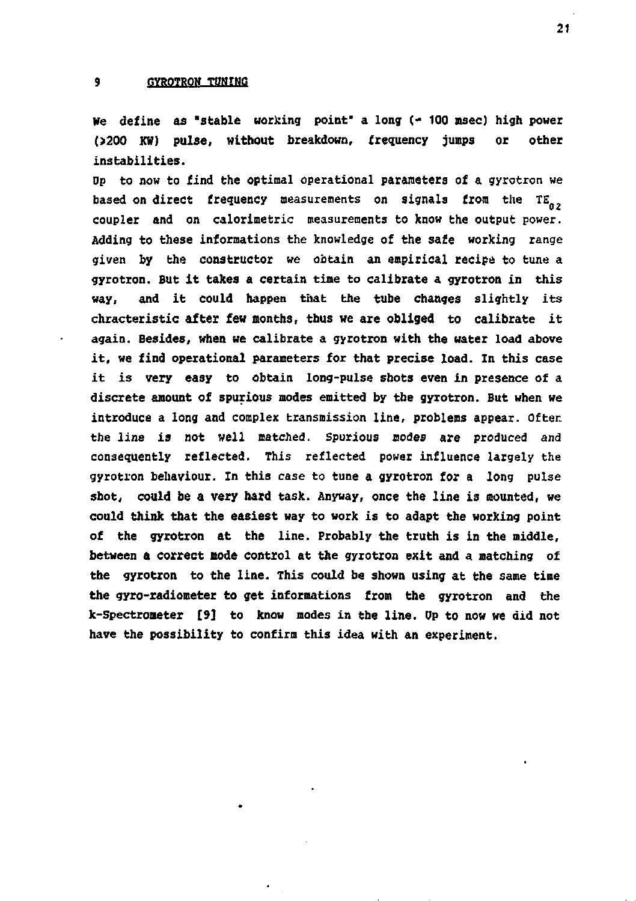### **9 GYROTRON TUNING**

**We define as "stable working point' a long (\* 100 msec) high power O200 KW) pulse, without breakdown, frequency jumps or other instabilities.** 

**Dp to now to find the optimal operational parameters of a gyrotron we**  based on direct frequency measurements on signals from the TE<sub>02</sub> **coupler and on calorimetric measurements to know the output power. Adding to these informations the knowledge of the safe working range given by the constructor we obtain an empirical recipe to tune a gyrotron. But it takes a certain time to calibrate a gyrotron in this way, and it could happen that the tube changes slightly its chracteristic after few months, thus we are obliged to calibrate it again. Besides, when we calibrate a gyrotron with the water load above it, we find operational parameters for that precise load. In this case it is very easy to obtain long-pulse shots even in presence of a discrete anount of spurious modes emitted by tbe gyrotron. But when we introduce a long and complex transmission line, problems appear. Often the line is not well matched. Spurious modes are produced and consequently reflected. This reflected power influence largely the gyrotron behaviour. In this case to tune a gyrotron for a long pulse shot, could be a very hard task. Anyway, once the line is mounted, we could think that the easiest way to work is to adapt the working point of the gyrotron at the line. Probably the truth is in the middle, between a correct mode control at the gyrotron exit and a matching of the gyrotron to the line. This could be shown using at the same time the gyro-radiometer to get informations from the gyrotron and the k-Spectrometer [9] to know modes in the line. Op to now we did not have the possibility to confirm this idea with an experiment.**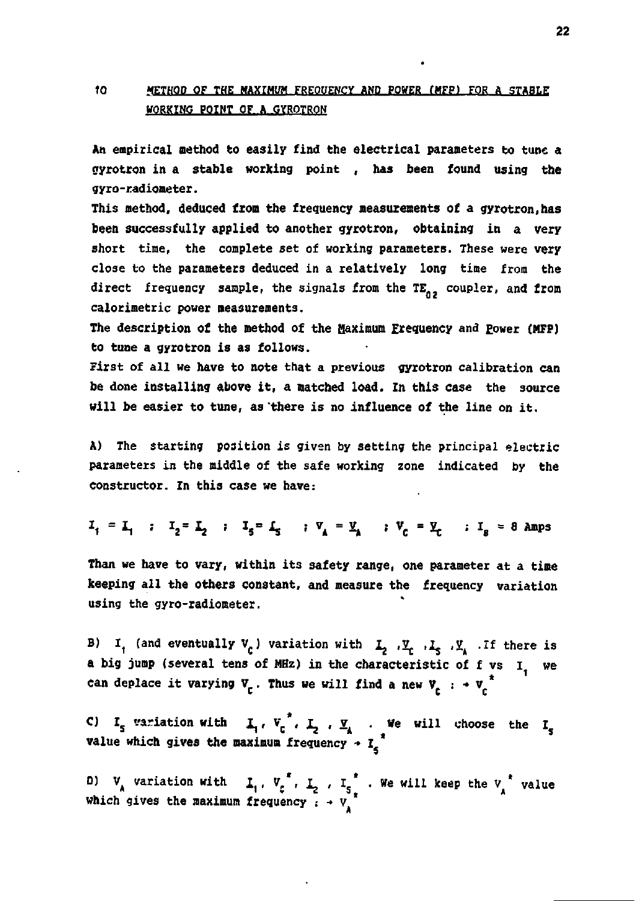## **fo METHOD OF THE MAXIMUM FREOUENCY AND POWER (MFP) FOR A STABLE WORKtHO POINT OF A OTROTROW**

**An empirical method to easily find the electrical parameters to tune a nyrotron in a stable working point , has been found using the gyro-radiometer.** 

**This method, deduced from the frequency measurements of a gyrotron.has been successfully applied to another gyrotron, obtaining in a very short time, the complete set of working parameters. These were very close to the parameters deduced in a relatively long time from the**  direct frequency sample, the signals from the TE<sub>02</sub> coupler, and from **calorimetric power measurements.** 

The description of the method of the Maximum Frequency and Power (MFP) **to tune a gyrotron is as follows.** 

**First of all we have to note that a previous gyrotron calibration can be done installing above it, a matched load. In this case the source will be easier to tune, as 'there is no influence of the line on it.** 

**A) The starting position is given** *by* **setting the principal electric parameters in the middle of the safe working zone indicated by the constructor. In this case we have:** 

 $I_i = I_i$  :  $I_i = I_j$  :  $I_k = I_k$  :  $V_i = Y_i$  :  $V_e = Y_e$  :  $I_g = 8$  Amps

**Than we have to vary, within its safety range, one parameter at a time keeping all the others constant, and measure the frequency variation using the gyro-radiometer.** 

**B) It (and eventually V<sup>c</sup> ) variation with L** *,2.* **,1» ,2. .If there is a big jump (several tens of MHz) in the characteristic of f vs I we**  can deplace it varying  $v_c$ . Thus we will find a new  $v_c$  :  $\rightarrow v_c$ <sup>\*</sup>

**C)** I<sub>s</sub> variation with  $\mathbf{I}_1$ ,  $\mathbf{V}_r$ ,  $\mathbf{I}_s$ ,  $\mathbf{V}_s$  . We will choose the I<sub>p</sub> **value which gives the maximum frequency** *- 1 \** 

**D)**  $V_A$  variation with  $I_1$ ,  $V_c^*$ ,  $I_2$ ,  $I_{S_a}^*$ . We will keep the  $V_A^*$  value **which gives the maximum frequency : -> v**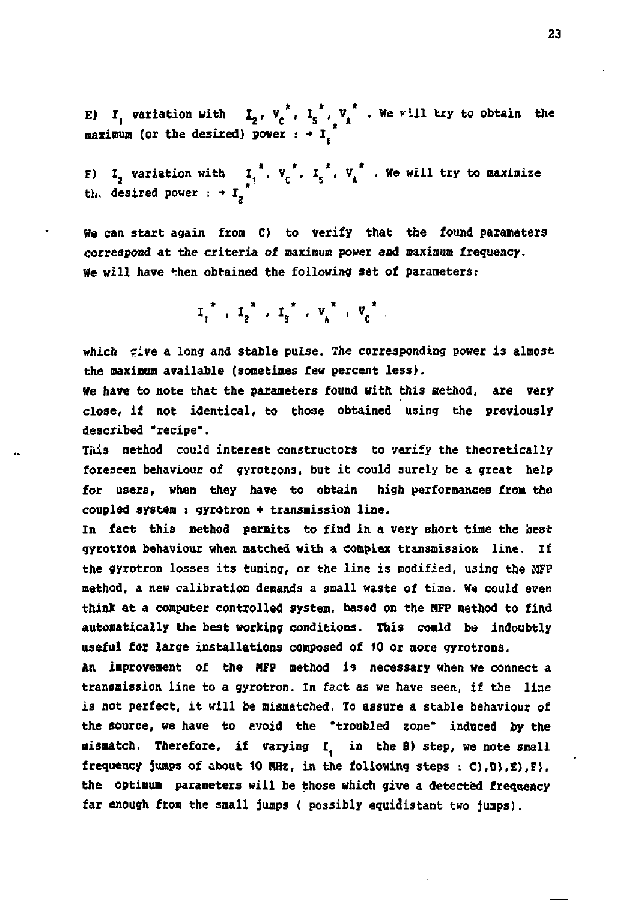**E) I**<sub>**t**</sub> variation with  $\mathbf{I}_2$ ,  $V_c^*$ ,  $\mathbf{I}_5^*$ ,  $V_A^*$  . We will try to obtain the  $maximum$  (or the desired) power  $: + I$ 

**F) I, variation with I, , V , I \*. VÀ .We will try to maximize th. desired power : •» I** 

**we can start again from C) to verify that the found parameters correspond at the criteria of maximum power and maximum frequency. We will have then obtained the following set of parameters:** 

 $I_1^{\frac{1}{2}}$ ,  $I_2^{\frac{1}{2}}$ ,  $I_3^{\frac{1}{2}}$ ,  $V_1^{\frac{1}{2}}$ ,  $V_2^{\frac{1}{2}}$ 

**which çrive a long and stable pulse. The corresponding power is almost the maximum available (sometimes few percent less).** 

**We have to note that the parameters found with this method, are very close, if not identical, to those obtained using the previously described "recipe".** 

**This method could interest constructors to verify the theoretically foreseen behaviour of gyrotrons, but it could surely be a great help for users, when they have to obtain high performances from the coupled system : gyrotron + transmission line.** 

**In fact this method permits to find in a very short time the best gyrotron behaviour when matched with a complex transmission line. If the gyrotron losses its tuning, or the line is modified, using the MFP method, a new calibration demands a small waste of time. We could even think at a computer controlled system, based on the HFP method to find automatically the best working conditions. This could be indoubtly useful for large installations composed of 10 or more gyrotrons.** 

An improvement of the MFP method is necessary when we connect a **transmission line to a gyrotron. In fact as we have seen, if the line is not perfect, it will be mismatched. To assure a stable behaviour of the source, we have to avoid the "troubled zone" induced by the mismatch. Therefore, if varying I in the B) step, we note small frequency jumps of about 10 MHz, in the following steps : C),D),E),F), the optimum parameters will be those which give a detected frequency far enough from the small jumps ( possibly equidistant two jumps),**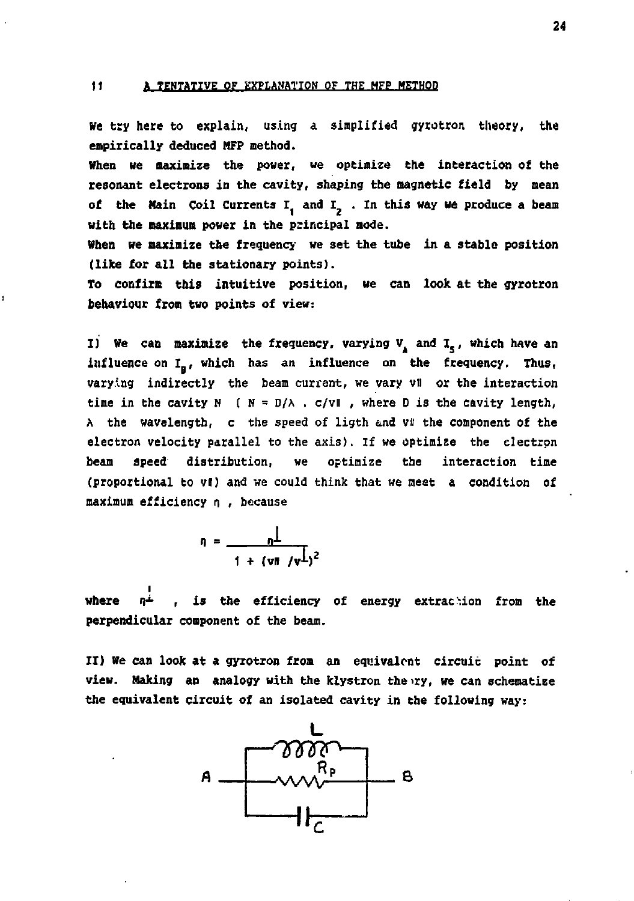### **11 A TENTATIVE OF EXPLANATION OF THE MFP METHOD**

ï

**We try here to explain, using a simplified gyrotron theory, the empirically deduced MFP method.** 

**When we maximize the power, we optimize the interaction of the resonant electrons in the cavity, shaping the magnetic field by mean**  of the Main Coil Currents I, and I<sub>2</sub>. In this way we produce a beam **with the maximum power in the principal mode.** 

**When we maximize the frequency we set the tube in a stable position (like for all the stationary points).** 

**To confirm this intuitive position, we can look at the gyrotron behaviour from two points of view:** 

**I)** We can maximize the frequency, varying  $V_A$  and  $I_{\epsilon}$ , which have an influence on I<sub>n</sub>, which has an influence on the frequency. Thus, **varying indirectly the beam currant, we vary vll or the interaction**  time in the cavity  $N$  ( $N = D/\lambda$ .  $c/v\|$ , where D is the cavity length, A the wavelength, c the speed of ligth and vi the component of the **electron velocity parallel to the axis). If we optimize the electron beam speed distribution, we optimize the interaction time (proportional to vl) and we could think that we meet a condition of maximum efficiency n , because** 

$$
n = \frac{n\perp}{1 + (\nu\ln / \nu\perp)^2}
$$

where  $\overrightarrow{n^{\perp}}$  , is the efficiency of energy extraction from the **perpendicular component of the beam.** 

**II) We can look at a gyrotron from an equivalent circuit point of**  view. Making an analogy with the klystron the ry, we can schematize **the equivalent circuit of an isolated cavity in the following way:** 



**24**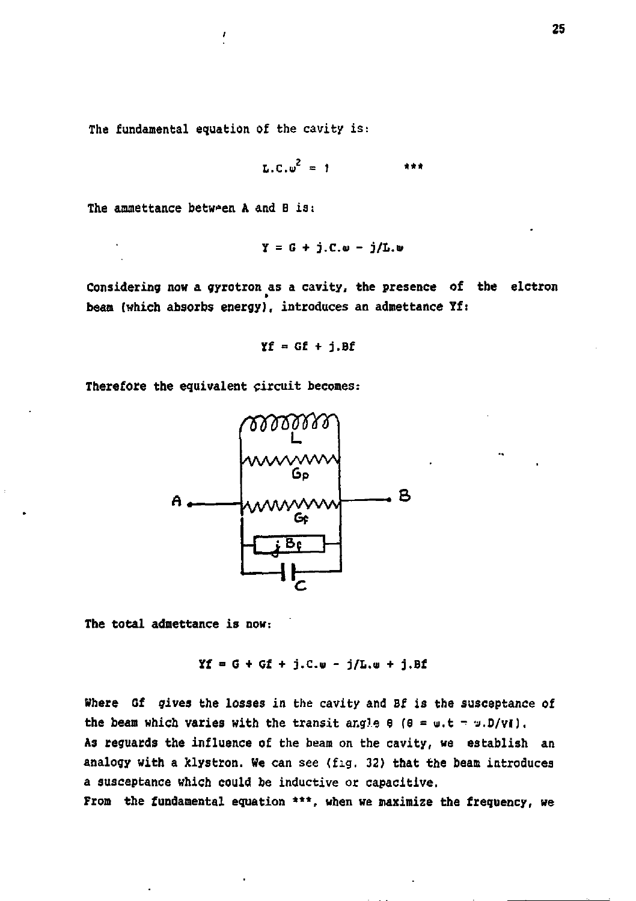**The fundamental equation of the cavity is:** 

$$
\mathbf{L}.\mathbf{C}.\mathbf{w}^2 = 1 \qquad \qquad \text{***}
$$

**The amnettance between A and B is:** 

$$
Y = G + j.C. \omega - j/L. \omega
$$

**Considering now a gyrotron as a cavity, the presence of the elctron beam (which absorbs energy), introduces an admettance Yf:** 

$$
Yf = Gf + j.Bf
$$

**Therefore the equivalent circuit becomes:** 



**The total admettance is now:** 

 $Yf = G + Gf + j.C. w - j/L. w + j.Bf$ 

**Where Gf gives the losses in the cavity and Bf is the susceptance of**  the beam which varies with the transit angle  $\theta$  ( $\theta = u.t = v.D/VI$ ). **As reguards the influence of the beam on the cavity, we establish an analogy with a klystron. We can see (fig. 32) that the beam introduces a susceptance which could be inductive or capacitive.** 

**From the fundamental equation \*\*\*, when we maximize the frequency, we**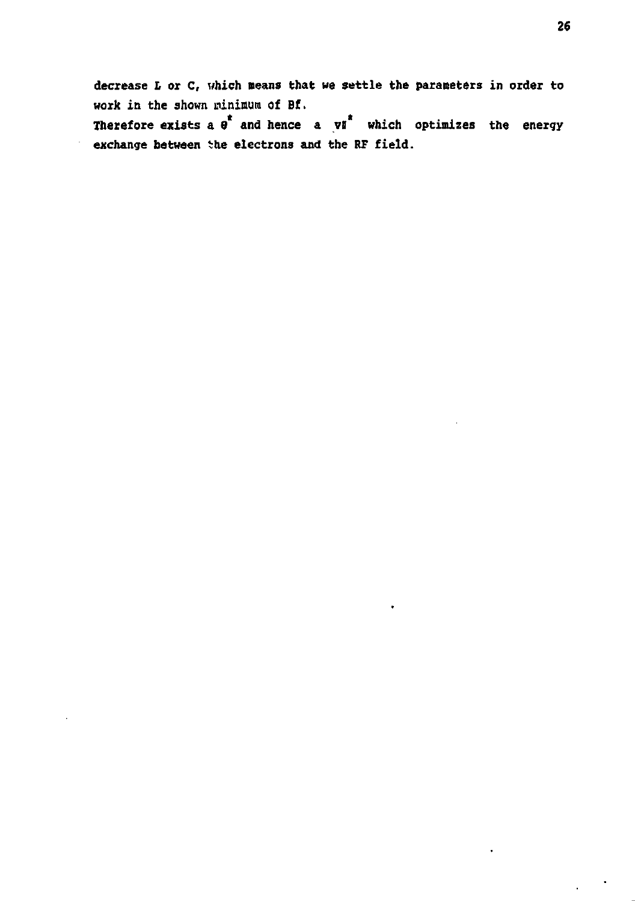**decrease L or C, which means that we settle the parameters in order to work in the shown minimum of Bf.**  Therefore exists a  $e^t$  and hence a  $yi^t$  which optimizes the energy **exchange between ihe electrons and the RF field.** 

 $\bullet$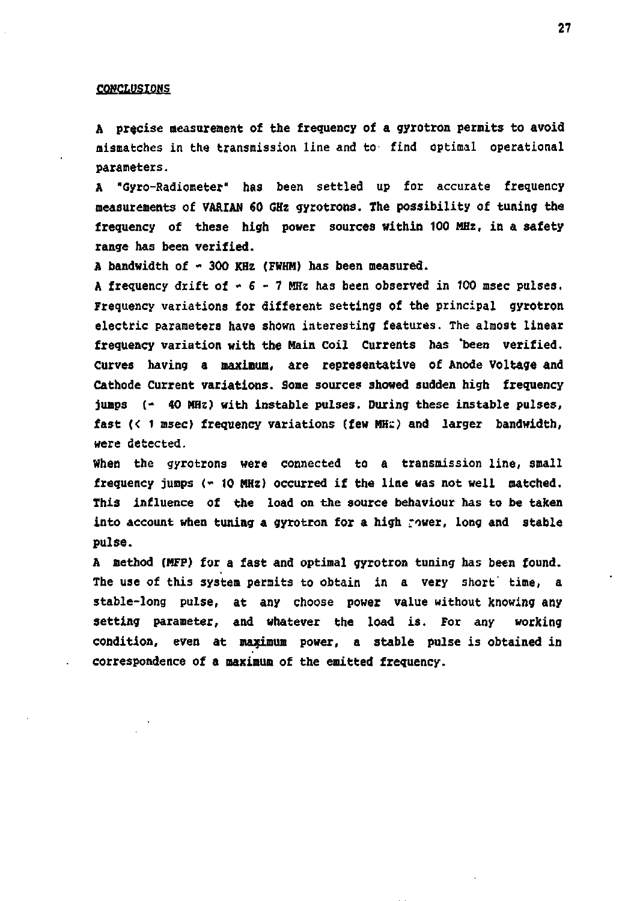#### *CONCLUSIONS*

**A precise measurement of the frequency of a gyrotron permits to avoid mismatches in the transmission line and tO' find optimal operational parameters.** 

**A "Gyro-Radiometer" has been settled up for accurate frequency measurements of VARIAN 60 GHz gyrotrons. The possibility of tuning the frequency of these high power sources within 100 MHz, in a safety range has been verified.** 

**A bandwidth of - 300 KHz (FWHM) has been measured.** 

**A frequency drift of - 6 - 7 MHz has been observed in 100 msec pulses. Frequency variations for different settings of the principal gyrotron electric parameters have shown interesting features. The almost linear frequency variation with the Main Coil Currents has 'been verified. Curves having a maximum, are representative of Anode Voltage and Cathode Current variations. Some source? showed sudden high frequency jumps (' 40 MHz) with instable pul3es. During these instable pulses,**  fast (< 1 msec) frequency variations (few MHz) and larger bandwidth, **were detected.** 

**When the gyrotrons were connected to a transmission line, small frequency jumps (- 10 MHz) occurred if the line was not well matched. This influence of the load on the source behaviour has to be taken into account when tuning a gyrotron for a high rower, long and stable pulse.** 

**A method (HFP) for a fast and optimal gyrotron tuning has been found. The use of this system permits to obtain in a very short' time, a stable-long pulse, at any choose power value without knowing any setting parameter, and whatever the load is. For any working condition, even at maximum power, a stable pulse is obtained in correspondence of a maximum of the emitted frequency.**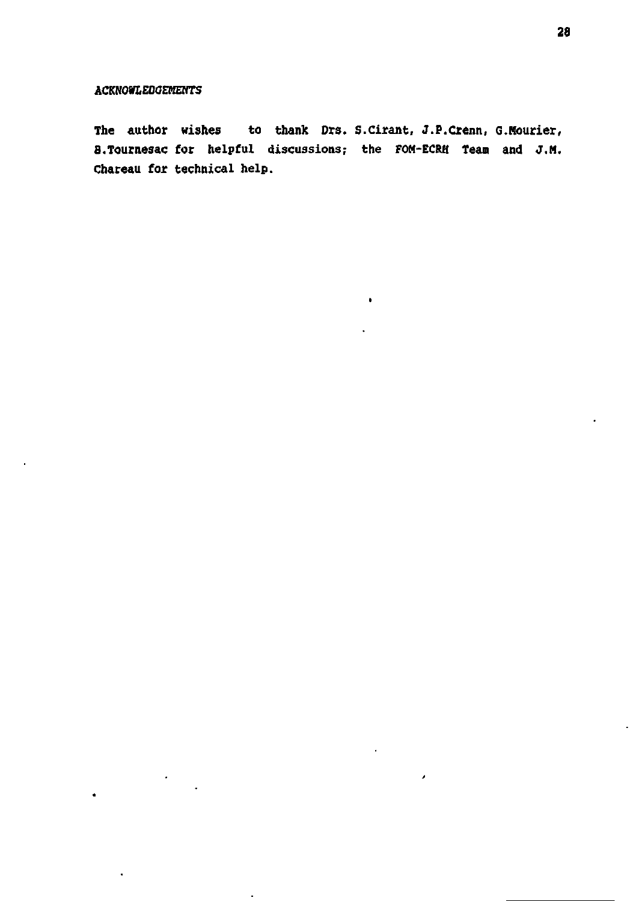$\cdot$ 

à,

 $\bullet$ 

**The author wishes to thank Drs. S.Cirant, J.P.Crenn, G.Hourier, B.Tournesac for helpful discussions; the FOH-ECRH Tean and J.H. Chareau for technical help.** 

 $\bullet$ 

 $\lambda$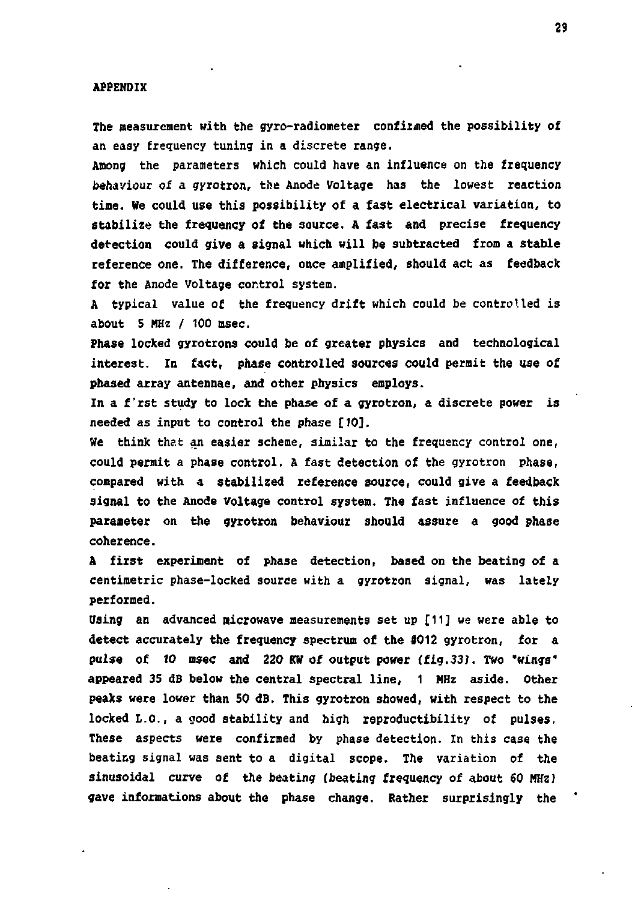#### **APPENDIX**

**The measurement with the gyro-radiometer confirmed the possibility of an easy frequency tuning in a discrete range.** 

**Among the parameters which could have an influence on the frequency behaviour of a gyrotron, the Anode Voltage has the lowest reaction time. We could use this possibility of a fast electrical variation, to stabilize the frequency of the source. A fast and precise frequency detection could give a signal which will be subtracted from a stable reference one. The difference, once amplified, should act as feedback for the Anode Voltage control system.** 

**A typical value of the frequency drift which could be controlled is about 5 MHz / 100 msec.** 

**Phase locked gyrotrons could be of greater physics and technological interest. In fact, phase controlled sources could permit the use of phased array antennae, and other physics employs.** 

**In a f'rst study to lock the phase of a gyrotron, a discrete power is needed as input to control the phase [10].** 

**Ve think that an easier scheme, similar to the frequency control one, could permit a phase control. A fast detection of the gyrotron phase, compared with a stabilized reference source, could give a feedback signal to the Anode voltage control system. The fast influence of this parameter on the gyrotron behaviour should assure a good phase coherence.** 

**A first experiment of phase detection, based on the beating of a centimetric phase-locked source with a gyrotron signal, was lately performed.** 

**Using an advanced microwave measurements set up [11J we were able to detect accurately the frequency spectrum of the #012 gyrotron, for a pulse of 10 msec and 220 KW of output power (fig.33). Two 'wings\* appeared 35 dB below the central spectral line, 1 MHz aside. Other peaks were lower than 50 dB. This gyrotron showed, with respect to the locked L.O., a good stability and high reproducibility of pulses, These aspects were confirmed by phase detection. In this case the beating signal was sent to a digital scope. The variation of the sinusoidal curve of the beating (beating frequency of about 60 MHz) gave informations about the phase change. Rather surprisingly the**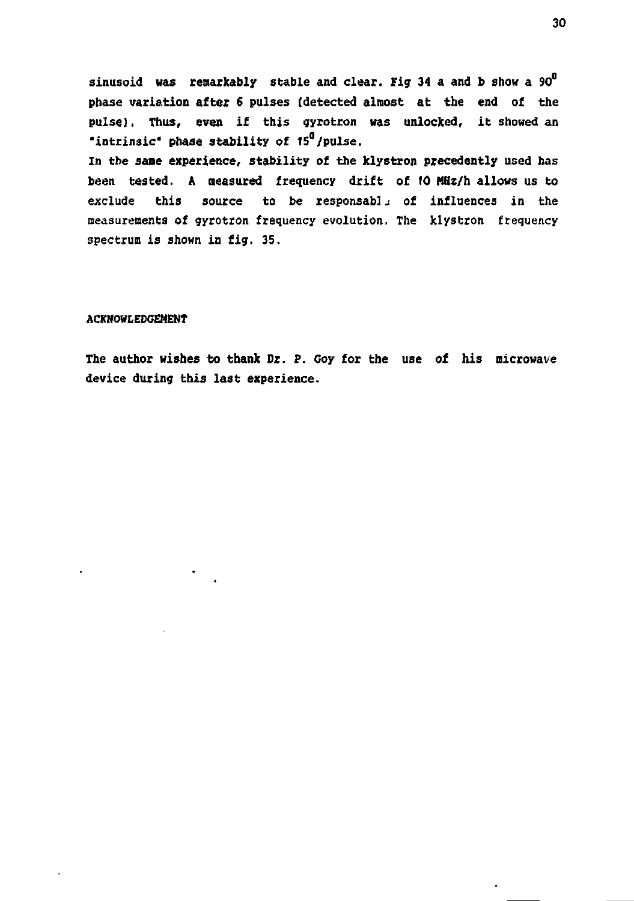**sinusoid was remarkably stable and clear. Fig 34 a and b show a 90° phase variation after** *6* **pulses (detected almost at the end of the pulse). Thus, even if this gyrotron was unlocked, it showed an "intrinsic" phase stability of 15°/pulse. In the sane experience, stability of the klystron precedently used has been tested. A measured frequency drift of 10 MHz/h allows us to exclude this source to be responsablj of influences in the measurements of gyrotron frequency evolution. The klystron frequency spectrum is shown in fig. 35.** 

### **ACKNOWLEDGEMENT**

**The author wishes to thank Dr. P. Goy for the use of his microwave device during this last experience.** 

.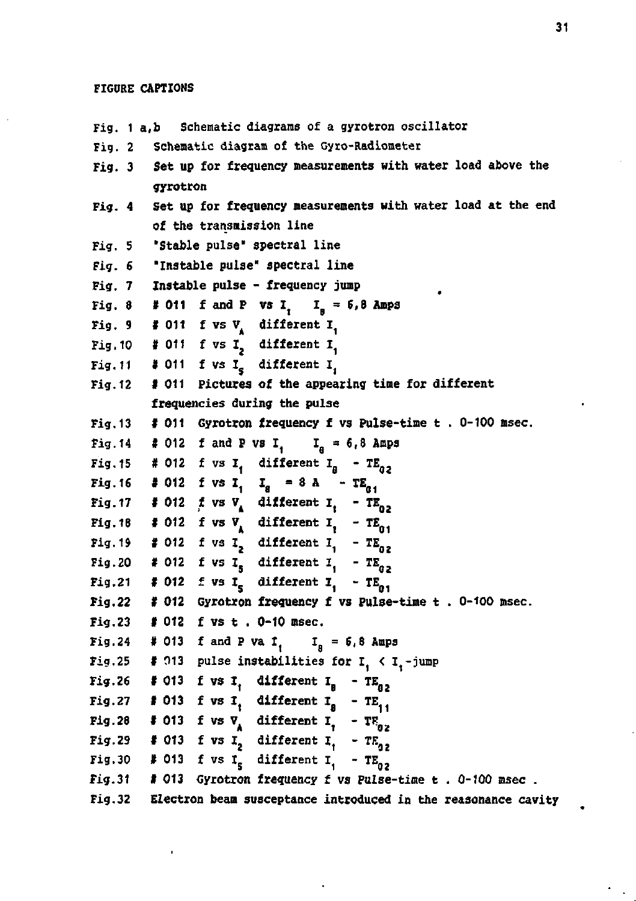### **FIGURE CAPTIONS**

**Fig. 1 a,b Schematic diagrams of a gyrotron oscillator Fig.** *2* **Schematic diagram of the Gyro-Radiometer Fig. 3 Set up for frequency measurements with water load above the gyrotron Fig. 4 Set up for frequency measurements with water load at the end of the transmission line**  Fig. 5 **Stable** pulse" spectral line **Fig. S "Instable pulse" spectral line Fig. 7 Instable pulse - frequency jump Fig. 8 # 011 f and P vs I,**  $I_n = 6,8$  **Amps** Fig. 9 # 011 f vs  $V_A$  different  $I_f$ Fig.10  $\#$  011 f vs I<sub>2</sub> different I<sub>1</sub> Fig. 11  $\#$  011 f vs I<sub>s</sub> different I<sub>i</sub> **Fig.12 1 011 Pictures of the appearing time for different frequencies during the pulse Fig.13 # 011 Gyrotron frequency f vs Pulse-time t . 0-100 msec. Fig. 14**  $\neq$  012 **f** and **P** vs **I**<sub>1</sub> **I**<sub>n</sub> = 6,8 Amps **Fig.15** # 012 **f** vs  $I_1$  different  $I_2$  -  $TE_{02}$ **Fig.16** # 012 f vs  $I_1$   $I_2$  = 8 A -  $TE_{a_1}$ **Fig.17 # 012** *f* vs  $V_A$  different  $I_1$  -  $TE_{02}$ **Fig.18 # 012** f vs  $V_A$  different  $I_1$  -  $TE_{01}$ **Fig.19 # 012 f** vs  $I_2$  **different**  $I_1$  -  $TE_{02}$ **Fig.20** # 012 **f** vs  $I_5$  different  $I_1$  -  $TE_{02}$ **Fig.21 #012**  $\pm$  vs I<sub>c</sub> different I<sub>c</sub> - TE<sub>0</sub>. **Fig.22 f 012 Gyrotron frequency f vs Pulse-time t . 0-100 msec. Fig.23 f 012 f vs t . 0-10 msec. Fig.24** # 013 f and P va I<sub>1</sub> I<sub>B</sub> = 6,8 Amps **Fig.25** # 013 pulse instabilities for  $I_1 \times I_1$ -jump **Fig.26 # 013 f vs I<sub>1</sub> different I<sub>B</sub>** -  $TE_{g2}$ **Fig.27 # 013 f** vs **I<sub>1</sub> different I<sub>8</sub> - TE<sub>11</sub>** Fig.28 # 013 f vs  $\nabla$  different I<sub>1</sub> - TH<sub>02</sub> **Fig.29 # 013 f vs I<sub>2</sub>** different  $I_1$  -  $TE_{q2}$ **Fig.30** # 013 **f** vs  $I_s$  different  $I_1$  - TE<sub>02</sub> **Fig.31 I 013 Gyrotron frequency f vs Pulse-time t . 0-100 msec . Fig.32 Electron beam susceptance introduced in the reasonance cavity**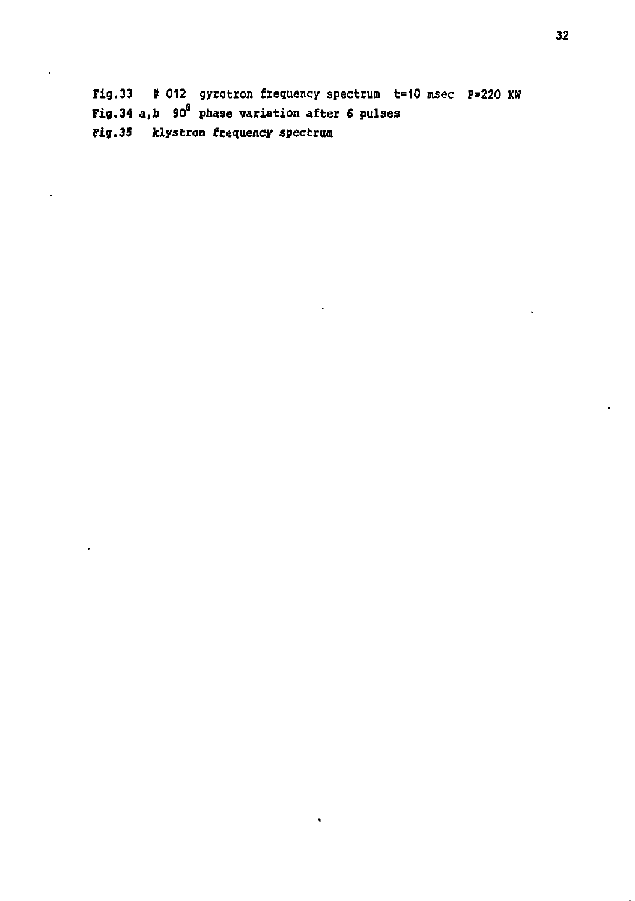**Fig.33 t 012 gyrotron frequency spectrum t=10 msec P=220 XW Fig.34 a,b 90 phase variation after 6 pulses Fig.35 klystron frequency spectrum**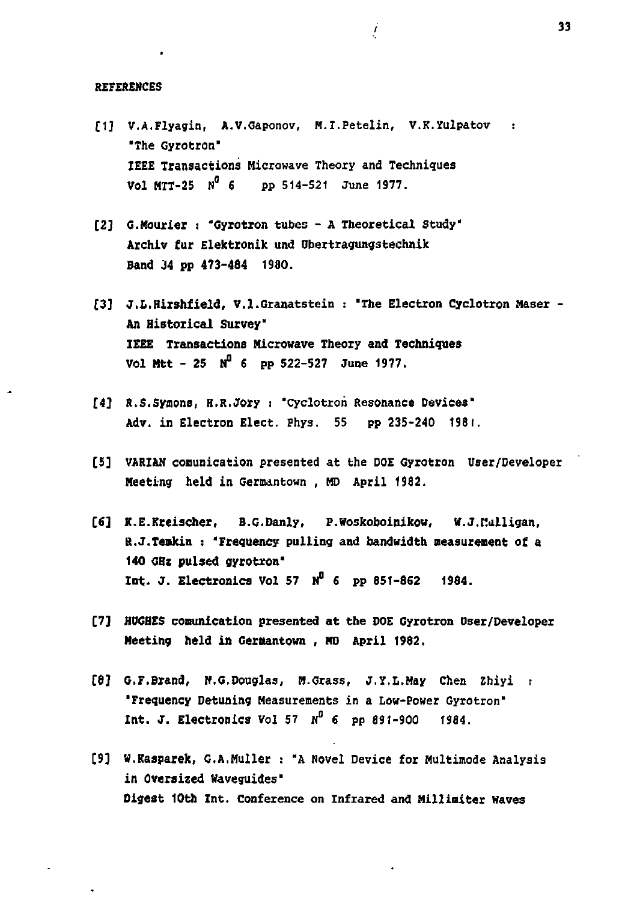#### **REFERENCES**

**C1] V.A.Flyagin, A.V.Gaponov, M.I.Petelin, V.K.Yulpatov : "The Gyrotron' IEEE Transactions Microwave Theory and Techniques Vol HTT-25 N° 6 pp 514-521 June 1977.** 

i

- **[2] G.Hourier** *:* **"Gyrotron tubes A Theoretical Study" Archiv fur Elektronik und Ubertragungstechnik**  Band 34 pp 473-484 1980.
- **(3] J.L.Hirshfield, V.l.Granatstein : "The Electron Cyclotron Haser - An Historical Survey" IEEE Transactions Microwave Theory and Techniques Vol Mtt - 25 N°** *6* **PP 522-527 June 1977.**
- *142* **R.S.Syaons, H.R.Jory : "Cyclotron Resonance Devices' Adv. in Electron Elect. Phys. 55 pp 235-240 1981.**
- **[5] VARIAN COBunication presented at the DOE Gyrotron User/Developer Meeting held in Germantown , MD April 1982.**
- **[6] K.E.Kteischer, B.G.Danly, P.Woskoboinikow, W.J.Mulligan, R.J.Temkin : 'Frequency pulling and bandwidth measurement of a 140 GHz pulsed gyrotron" Int. J. Electronics Vol 57 «" f pp 851-862 1984.**
- **[7] HUGHES comunication presented at the DOE Gyrotron Dser/Developer Meeting held in Germantown , MD April 1982.**
- **[8} G.F.Brand, H.G.Douglas, M.Grass, J.Y.L.May Chen Zhiyi : 'Frequency Detuning Measurements in a Low-Power Gyrotron" Int. J. Electronics Vol 57 «°** *e* **pp 891-900 1984.**
- **[9] W.Kasparek, G.A.Huiler : 'A Novel Device for Multimode Analysis in Oversized Waveguides' Digest 10th Int. Conference on Infrared and Milliniter Waves**

**33**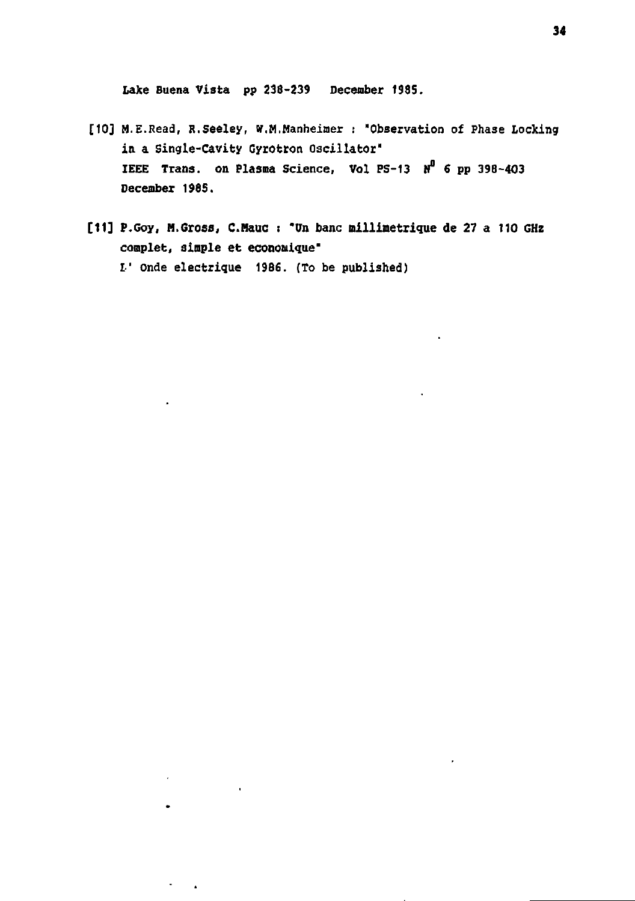**Lake Buena Vista pp 238-239 December 1985.** 

 $\overline{\phantom{a}}$ 

 $\hat{\mathbf{r}}$ 

 $\sigma_{\rm{max}}$ 

- **[10] M.E.Eead, R.seeley, w.M.Manheimer : "Observation of Phase Locking in a Single-Cavity Cyrotron Oscillator" IEEE Trans, on Plasma Science, Vol FS-13 N° 6 pp 398-403 December 1985.**
- **[11] P.Goy, H.Gross, C.Hauc : "Un banc millimétrique de 27 a 110 GHz complet, simple et économique" L' onde électrique 1986. (To be published)**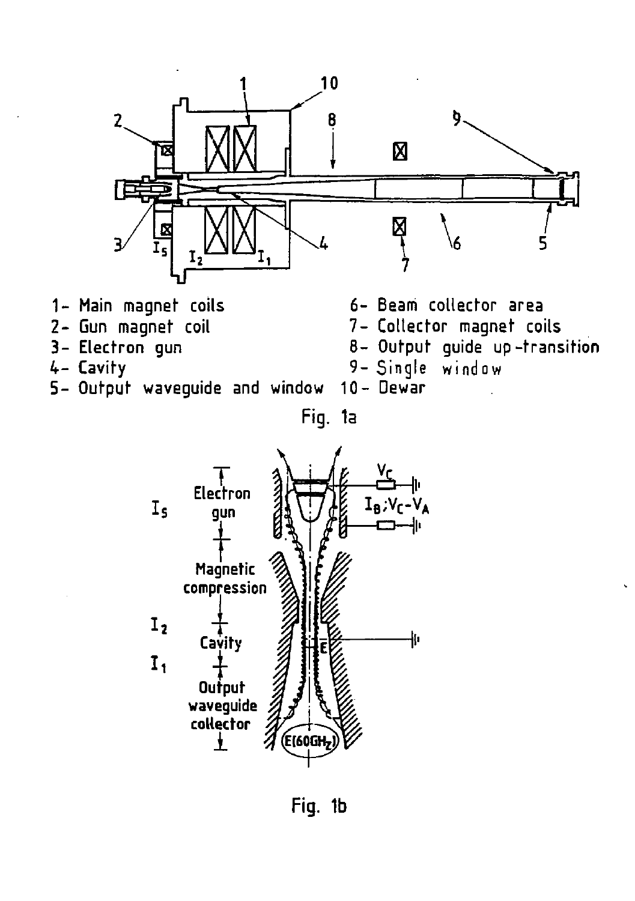

- **1 Main magnet coils**
- **2- Gun magnet coil**
- **3- Electron gun**
- **4- Cavity**
- **5 Output waveguide and window 10- Dewar**

**6- Beam collector area** 

- **7- Collector magnet coils**
- **8- Output guide up-transition**

9- Single

**Fig. 1a** 



**Fig. 1b**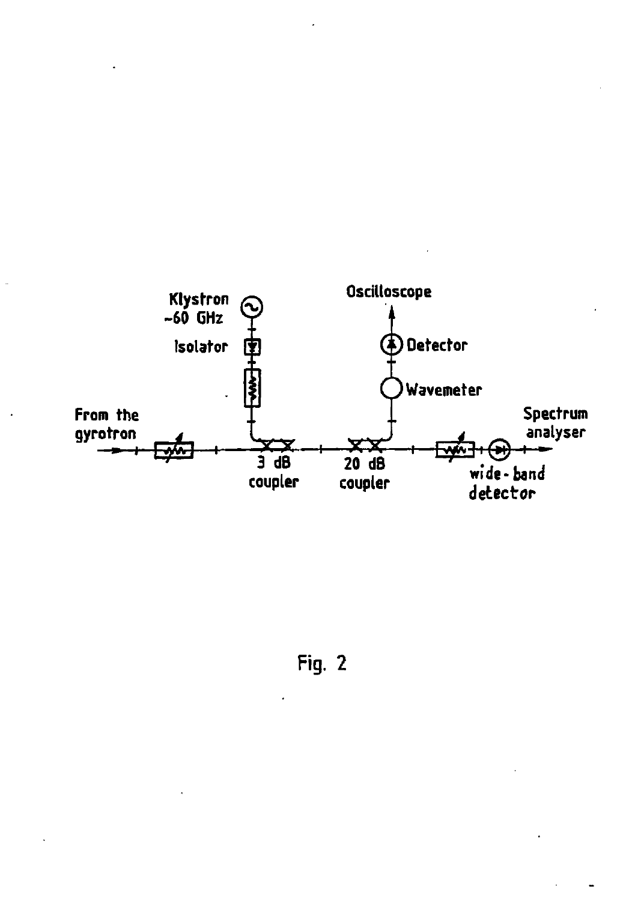

Fig. 2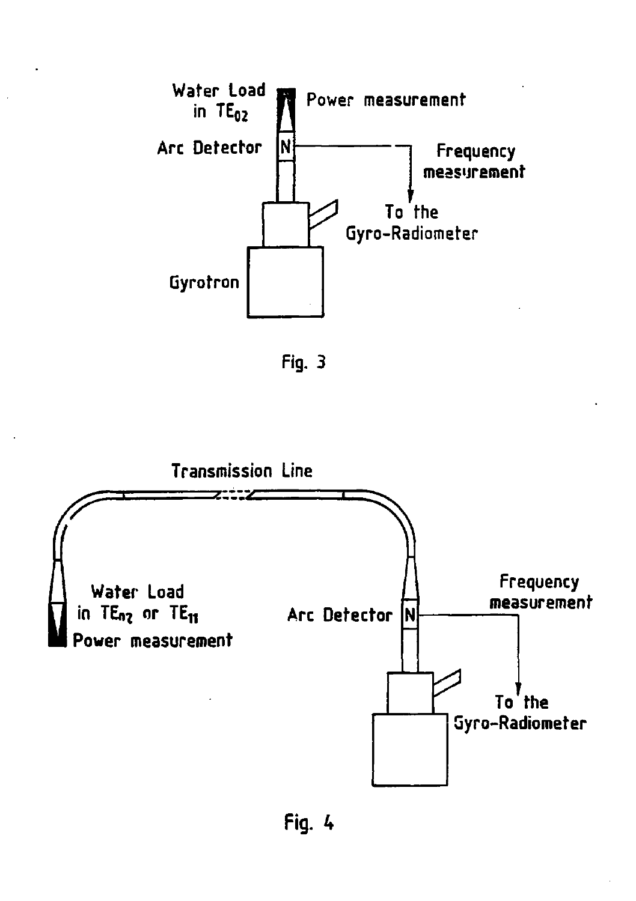

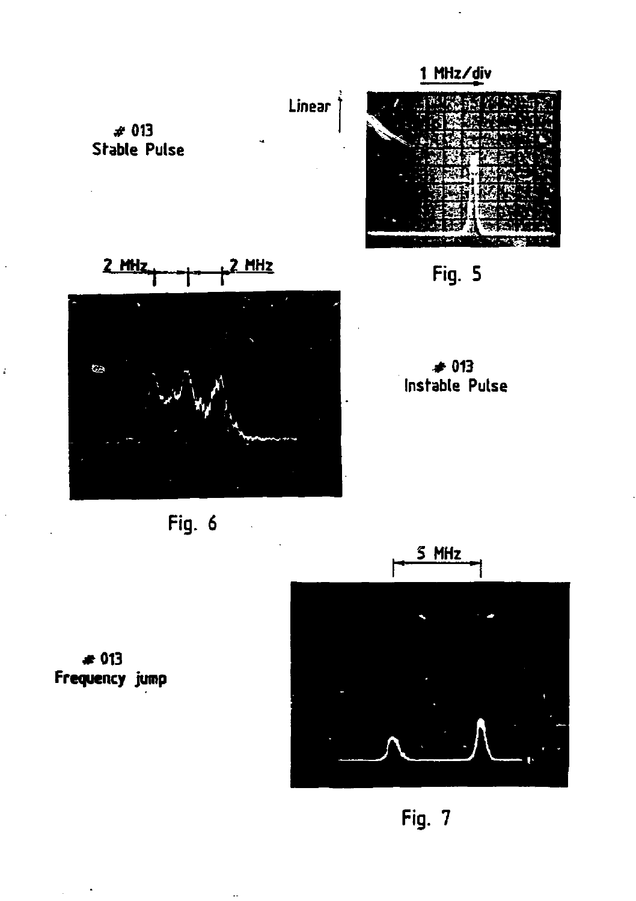



5 MHz

 $* 013$ Frequency jump

ł,

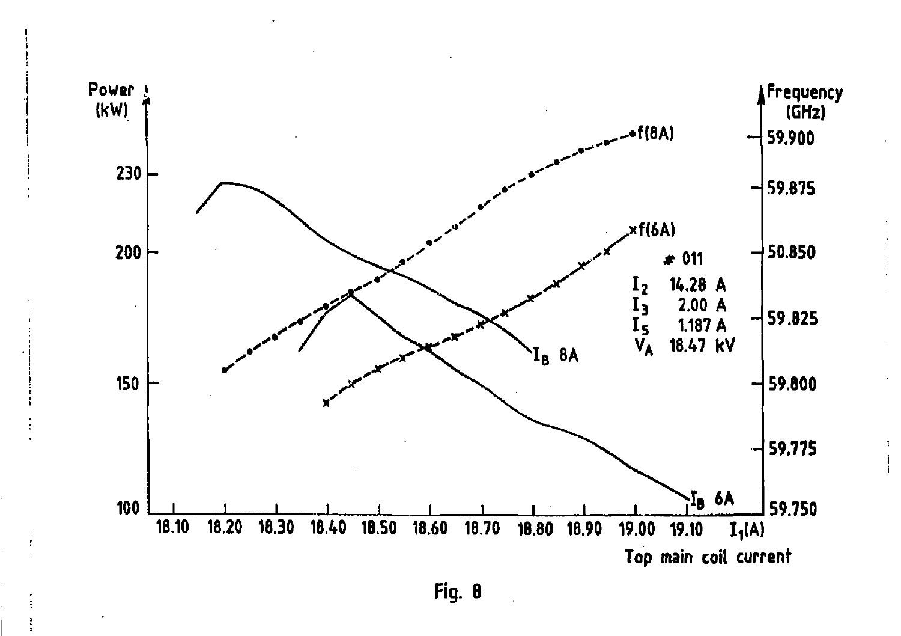

÷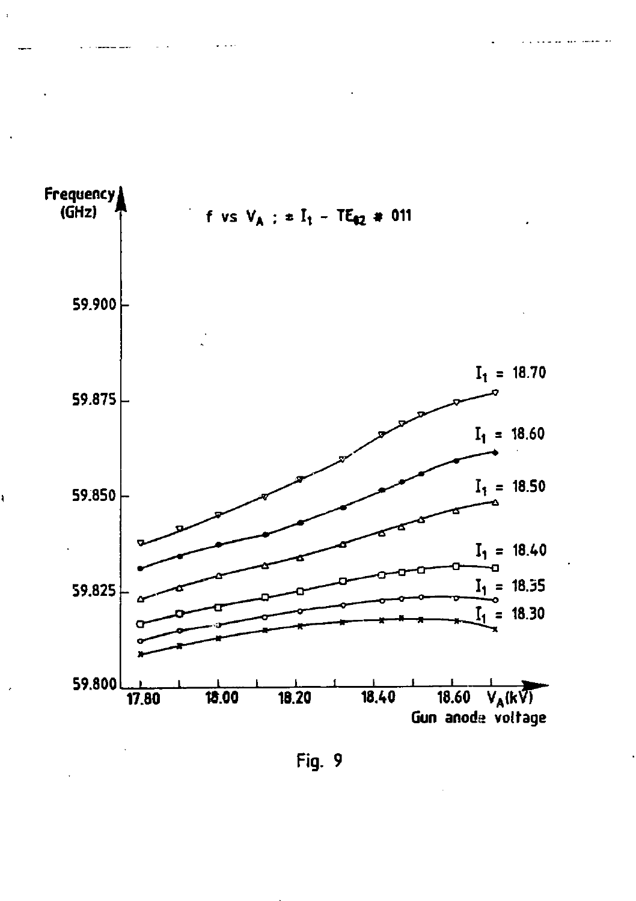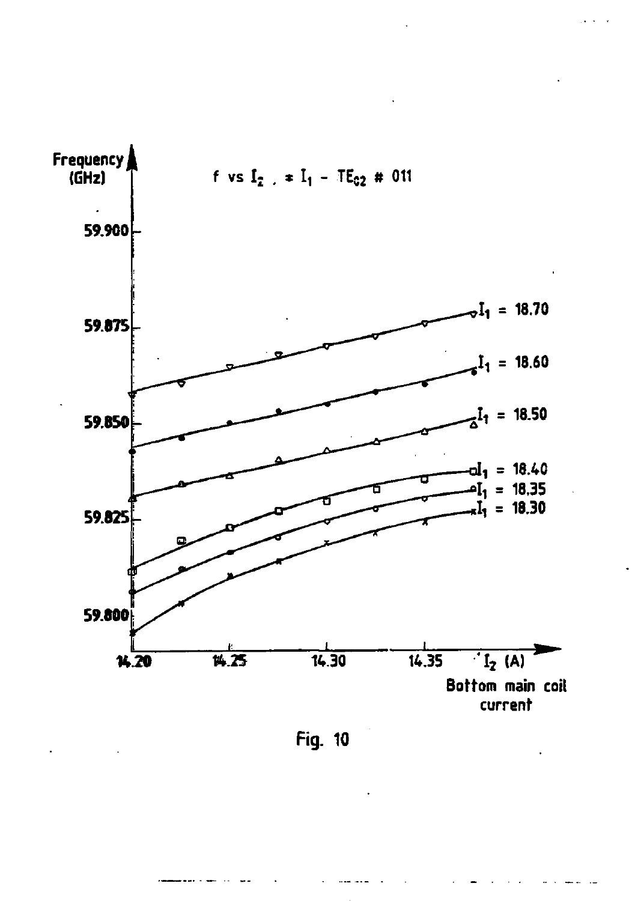

Fig. 10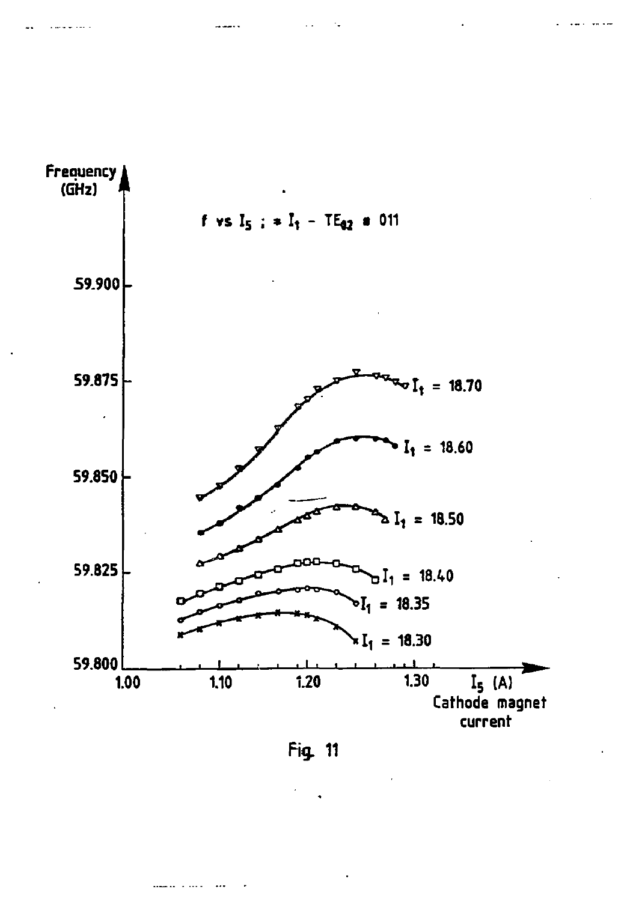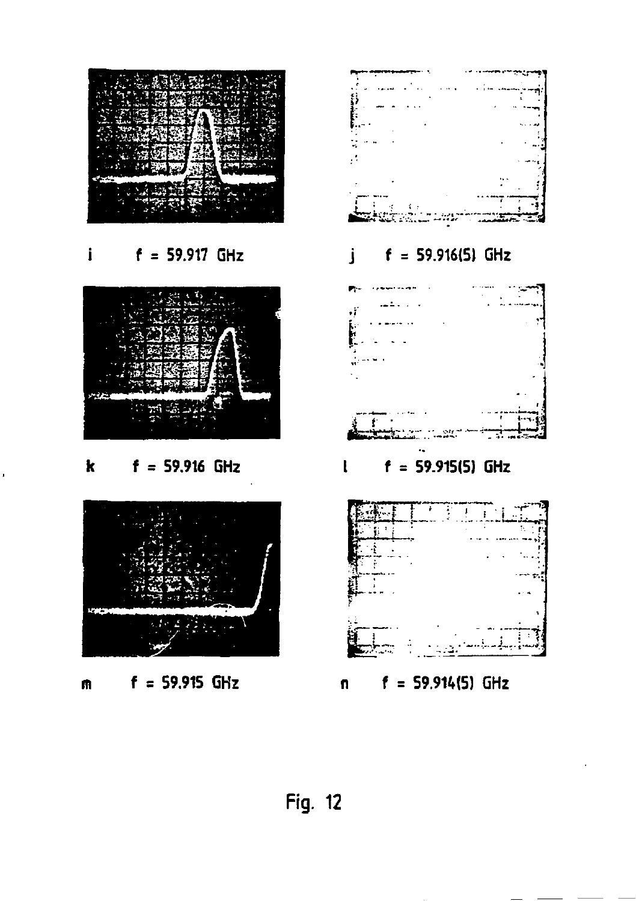

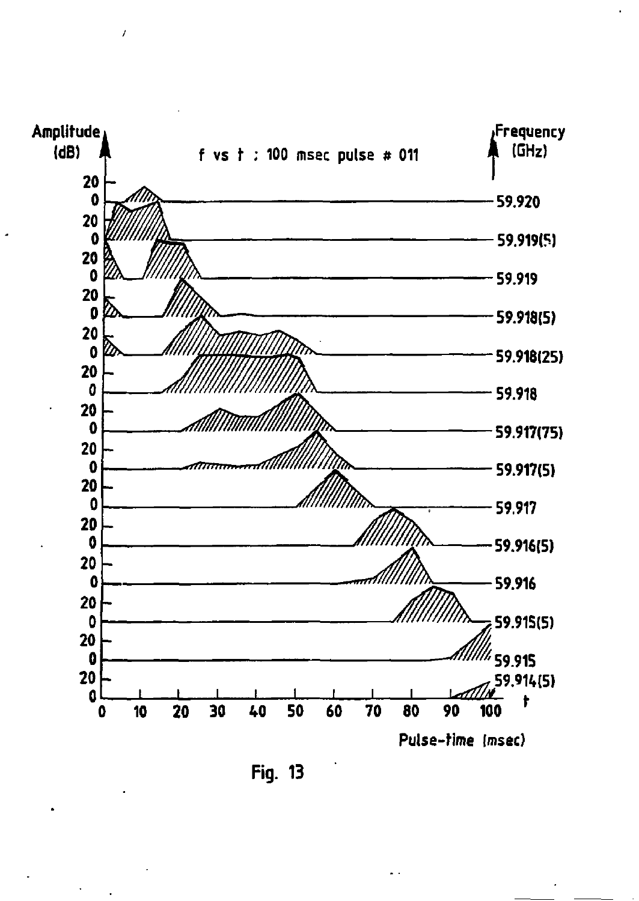

 $\prime$ 

**Fig. 13**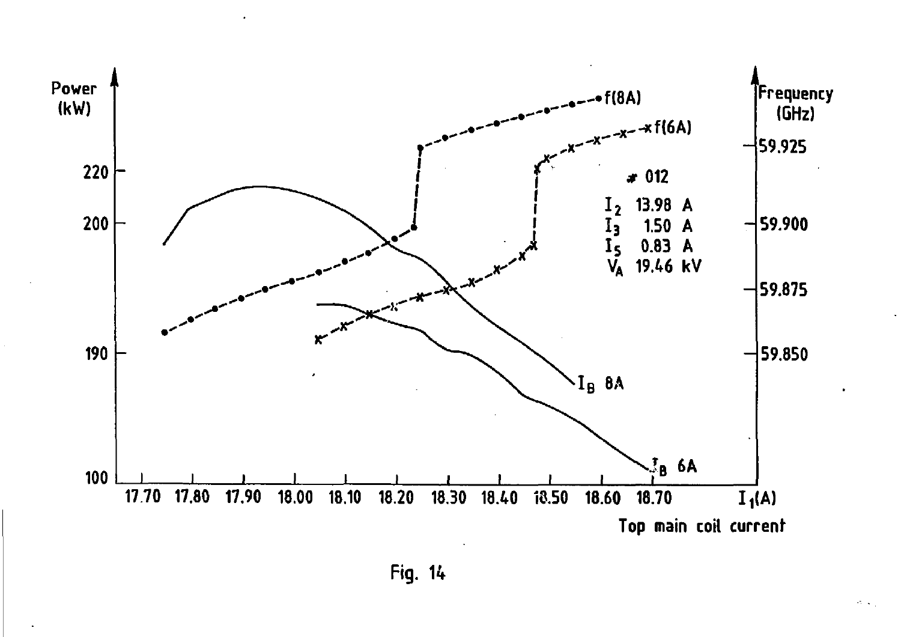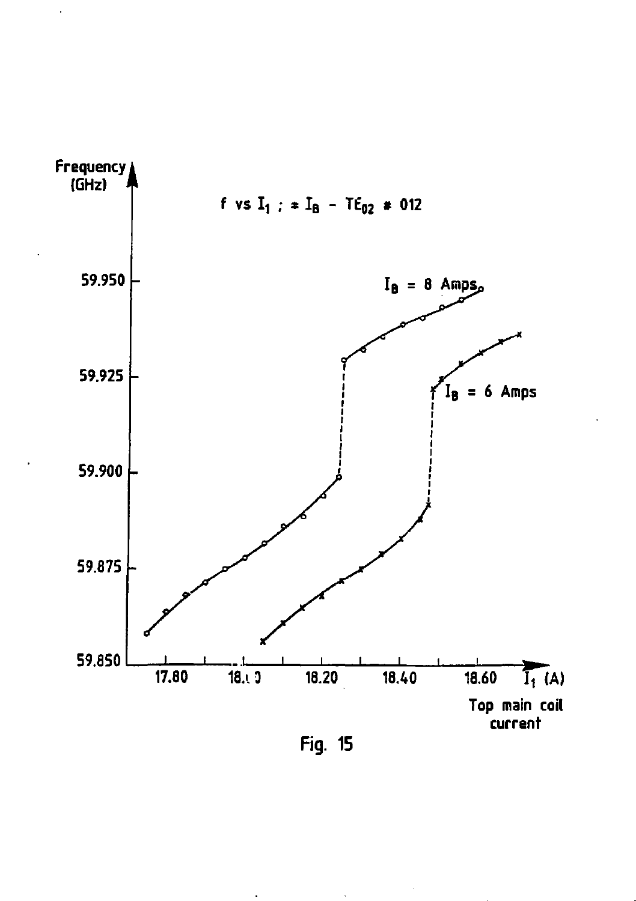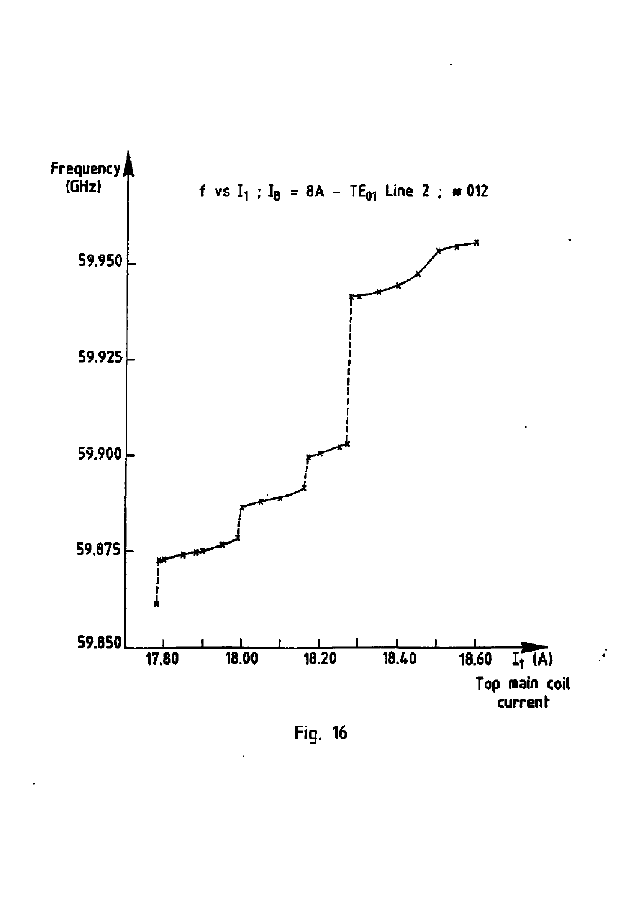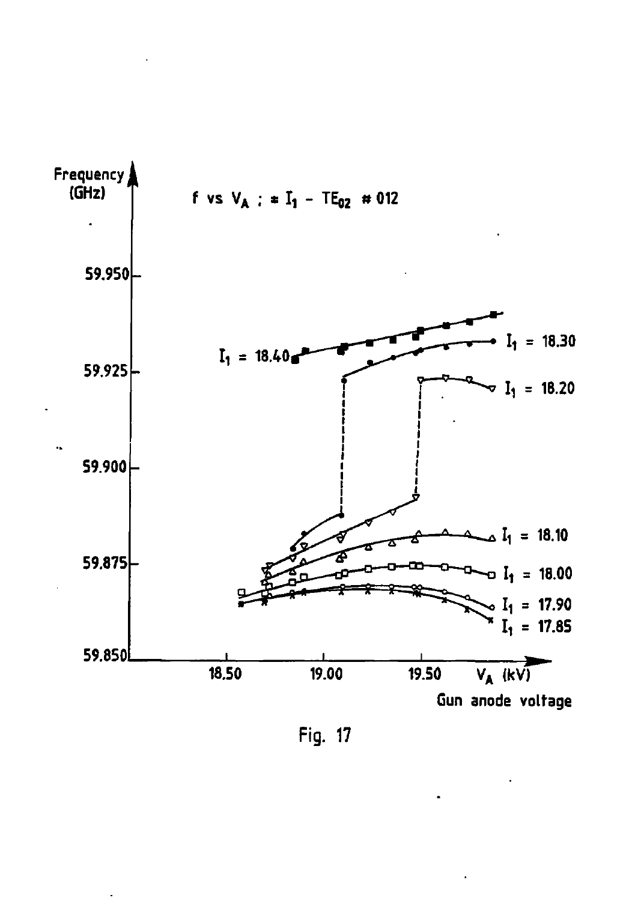

Fig. 17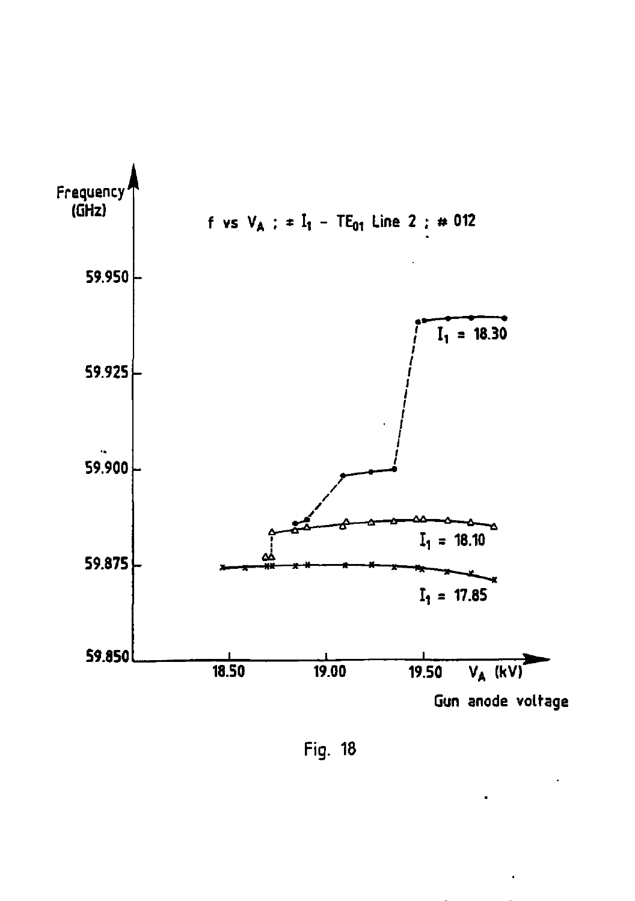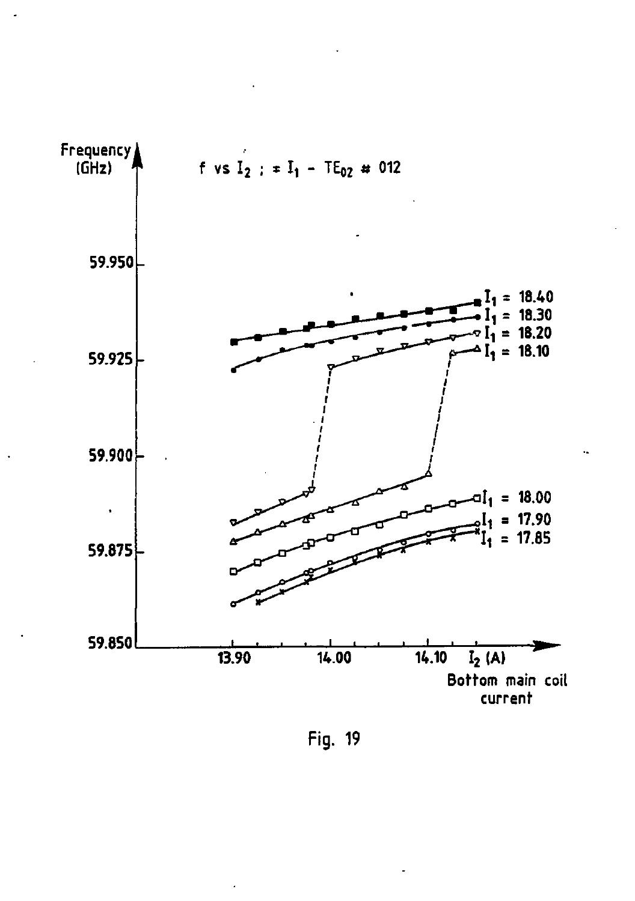![](_page_51_Figure_0.jpeg)

Fig. 19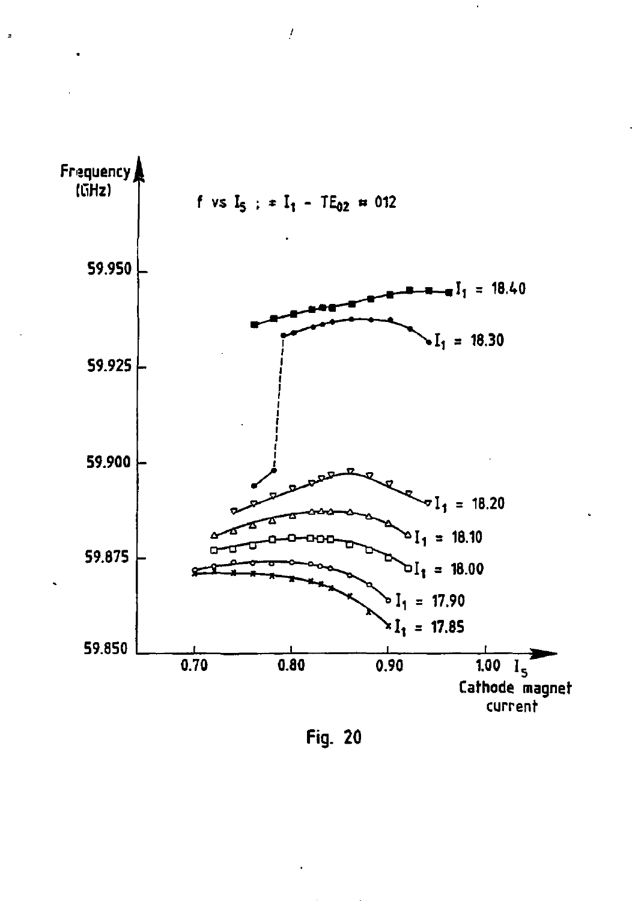![](_page_52_Figure_0.jpeg)

 $\overline{f}$ 

 $\overline{z}$ 

Fig. 20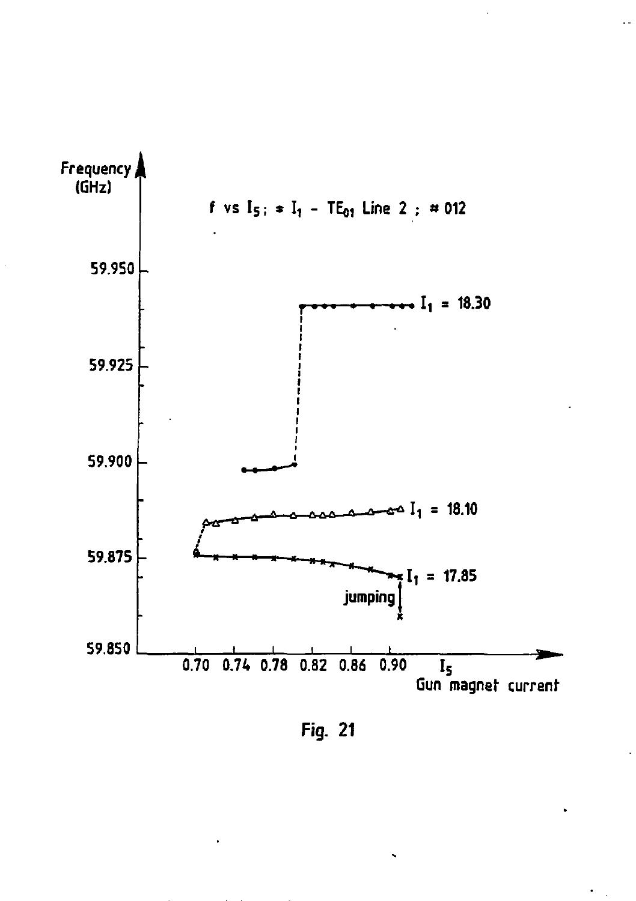![](_page_53_Figure_0.jpeg)

Fig. 21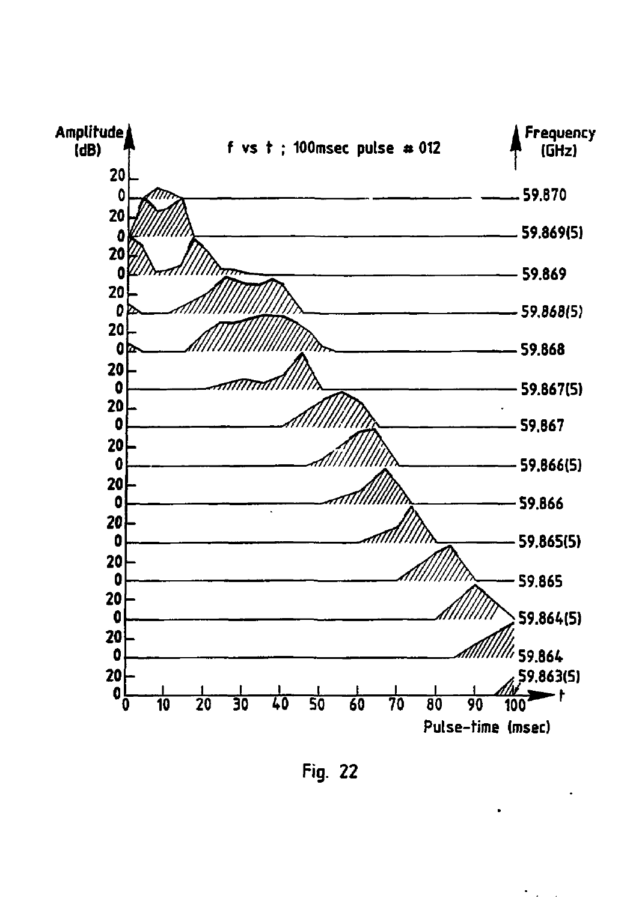![](_page_54_Figure_0.jpeg)

 $\mathcal{O}(\mathcal{E}^{\mathcal{A}})$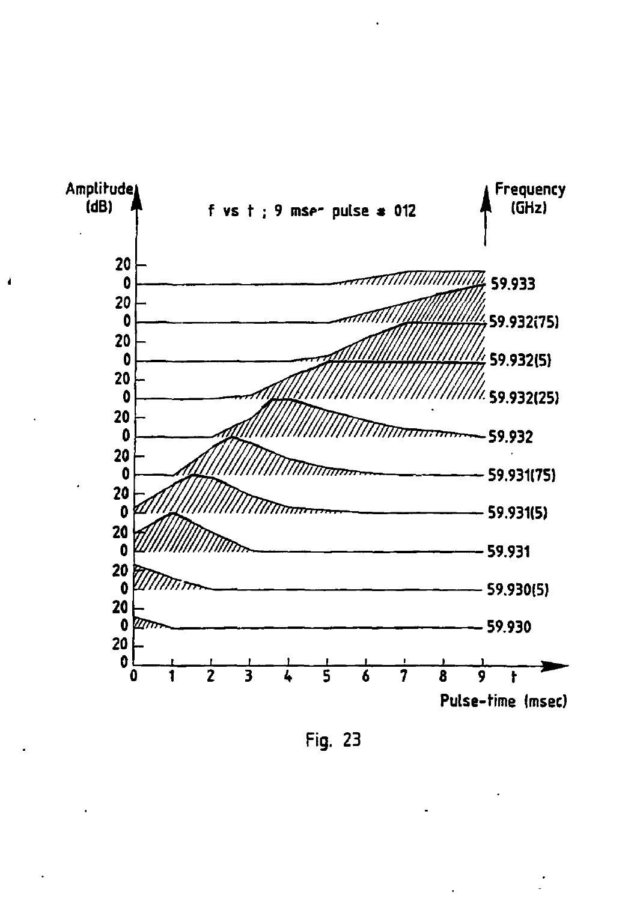![](_page_55_Figure_0.jpeg)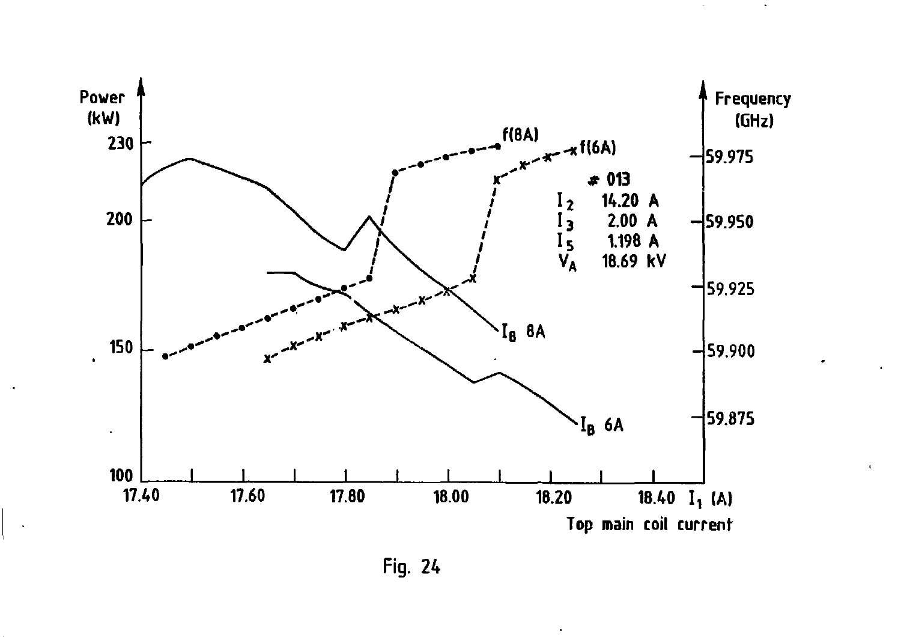![](_page_56_Figure_0.jpeg)

 $\bullet$ 

**Fig. 24** 

 $\bullet$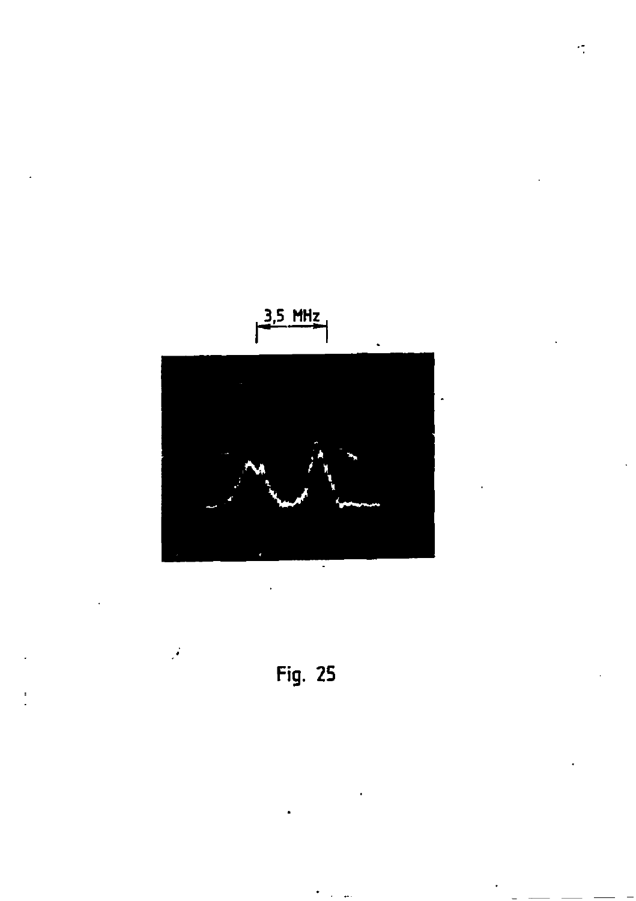![](_page_57_Figure_0.jpeg)

![](_page_57_Figure_1.jpeg)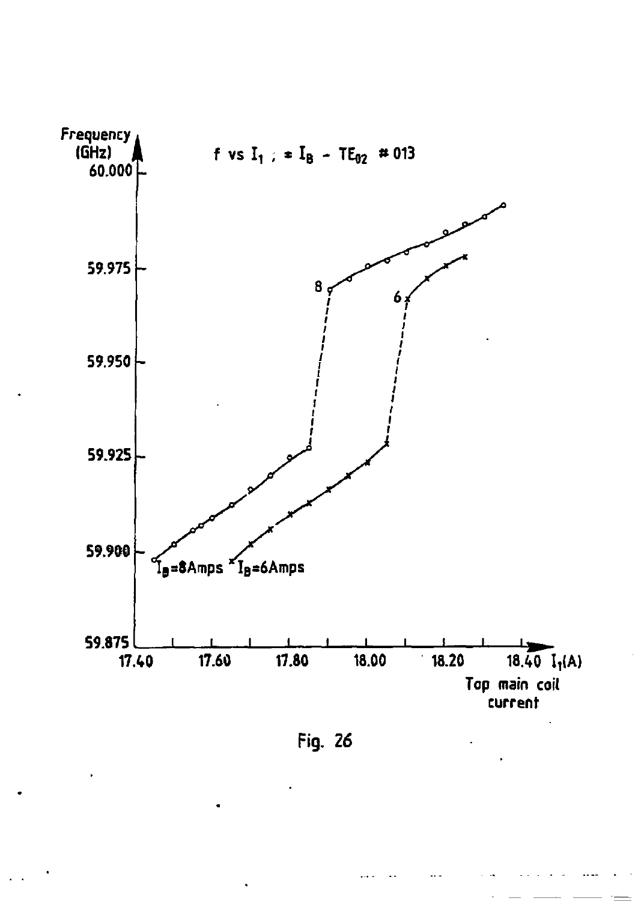![](_page_58_Figure_0.jpeg)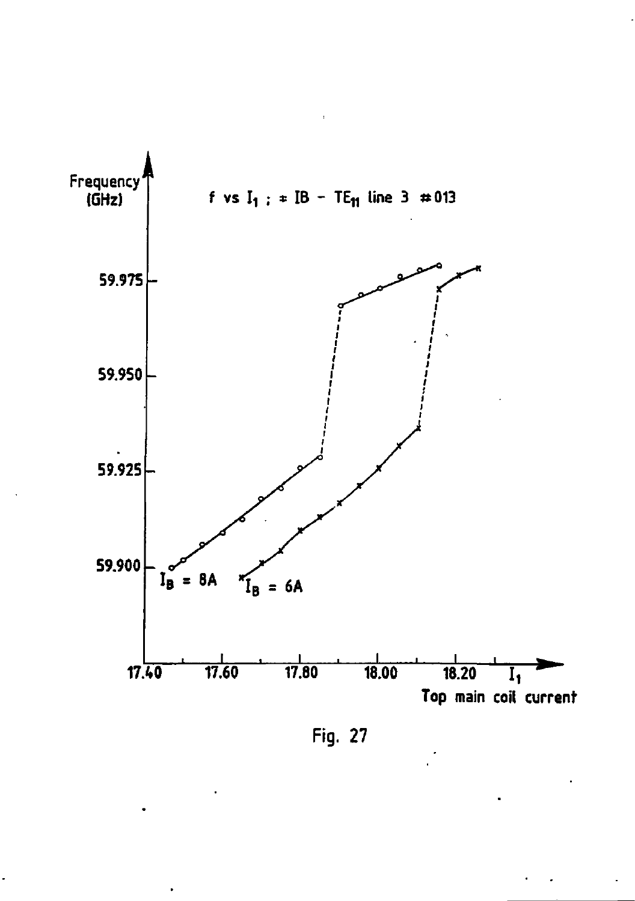![](_page_59_Figure_0.jpeg)

Fig. 27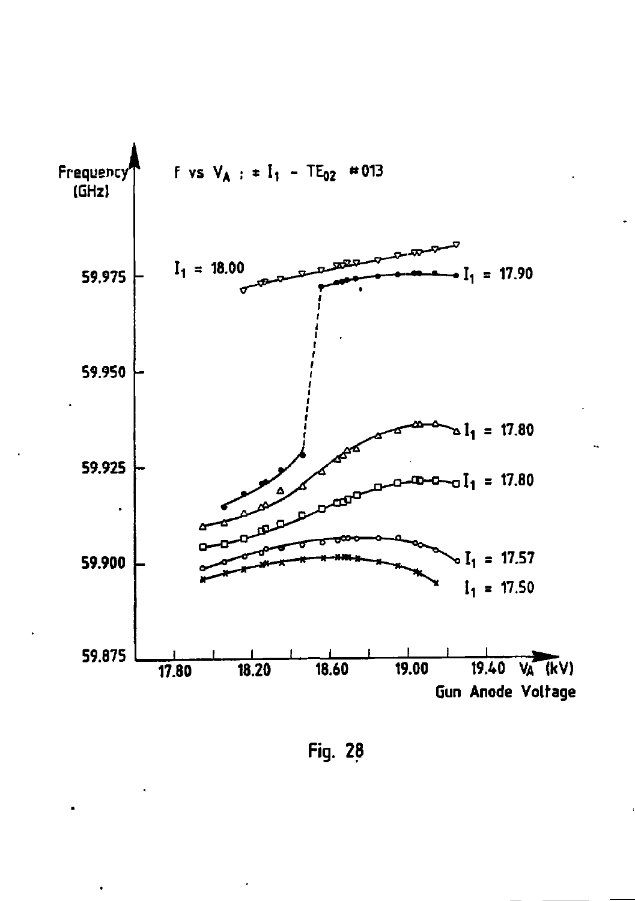![](_page_60_Figure_0.jpeg)

Fig. 28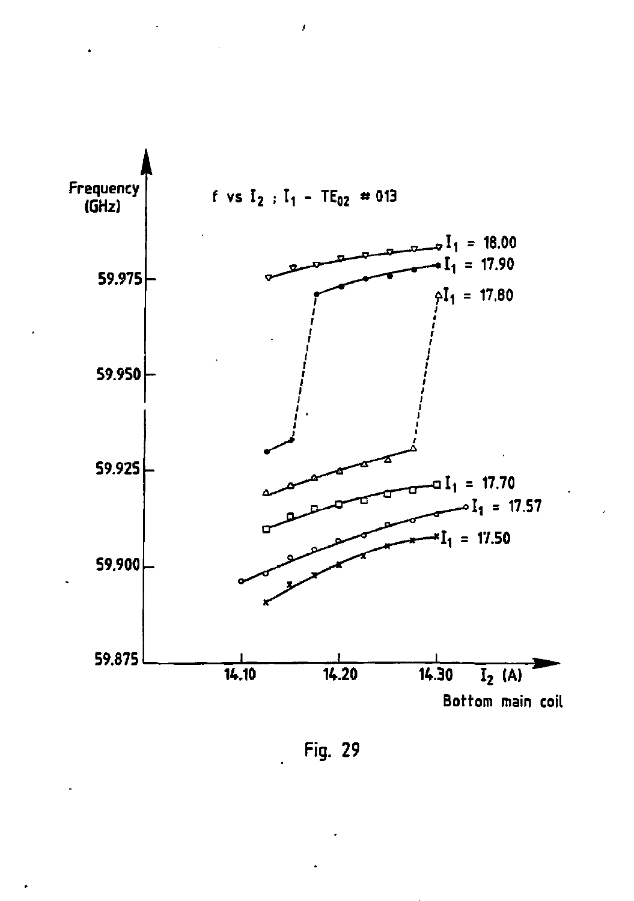![](_page_61_Figure_0.jpeg)

 $\overline{1}$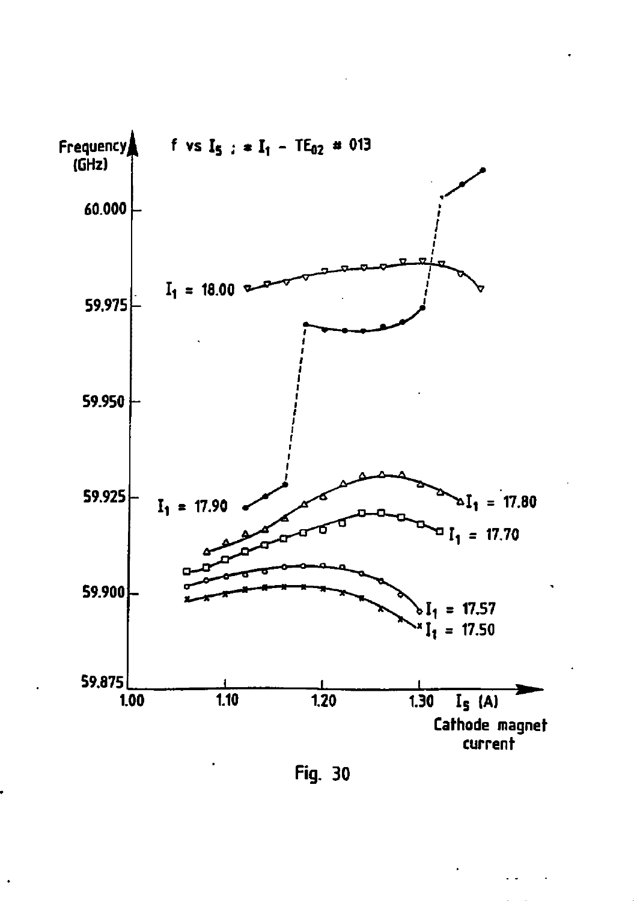![](_page_62_Figure_0.jpeg)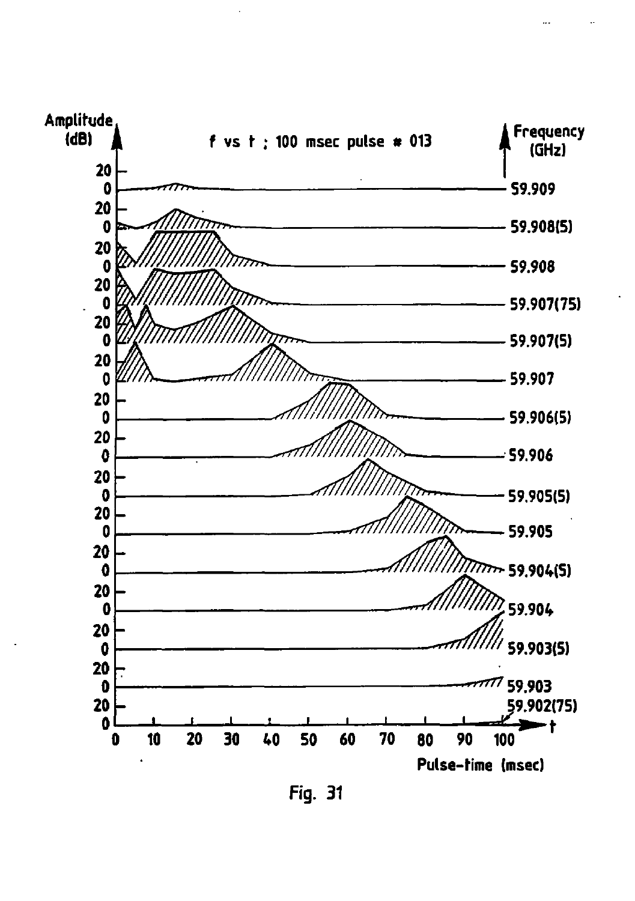![](_page_63_Figure_0.jpeg)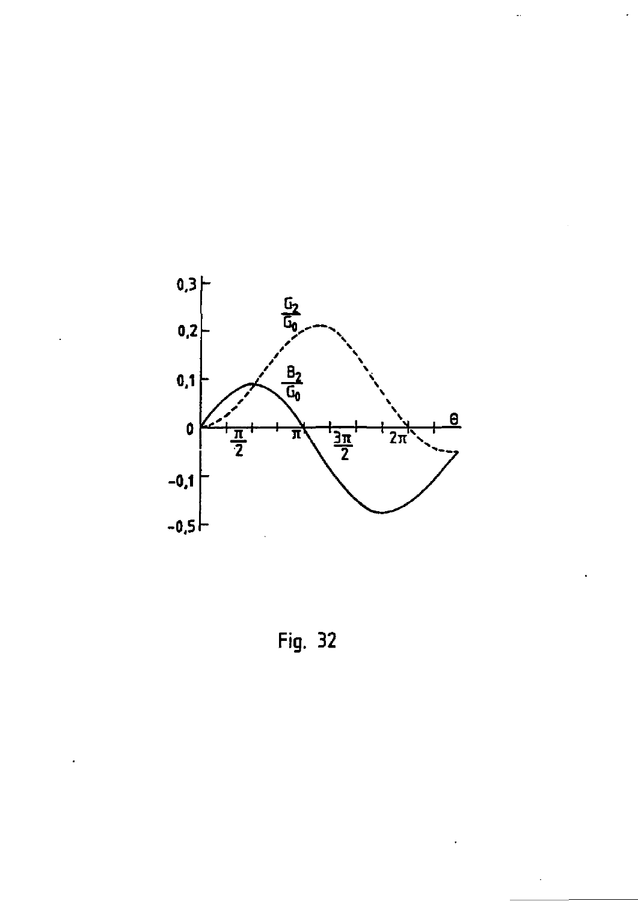![](_page_64_Figure_0.jpeg)

Fig. 32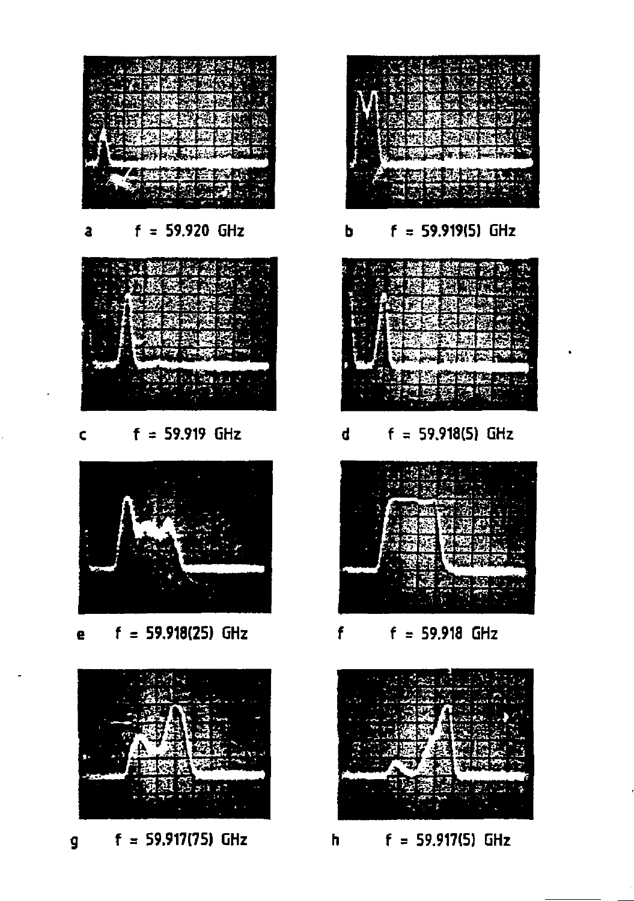![](_page_65_Picture_0.jpeg)

**a f = 59.920 GHz b f = 59.919(5) GHz** 

![](_page_65_Picture_2.jpeg)

**c f = 59.919 GHz d f = 59.918(5) GHz** 

![](_page_65_Picture_4.jpeg)

**e f** = 59.918(25) GHz **f f** = 59.918 GHz

![](_page_65_Picture_6.jpeg)

**g f = 59.917(75) GHz h f = 59.917(5) GHz** 

![](_page_65_Picture_8.jpeg)

![](_page_65_Picture_10.jpeg)

![](_page_65_Picture_12.jpeg)

![](_page_65_Picture_14.jpeg)